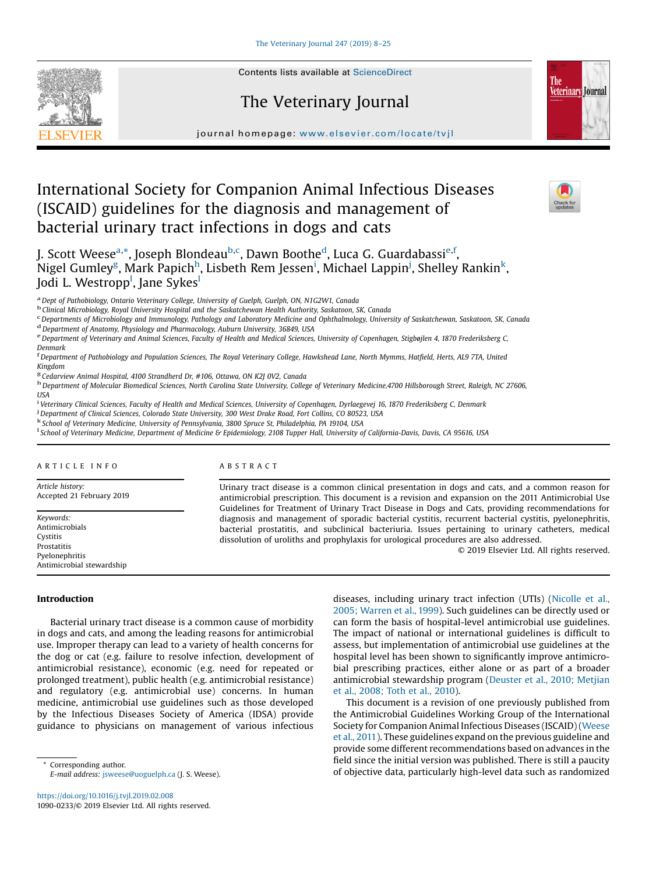# The Veterinary Journal

journal homepage: www.elsevier.com/locate/tv

# International Society for Companion Animal Infectious Diseases (ISCAID) guidelines for the diagnosis and management of bacterial urinary tract infections in dogs and cats



The

**Veterinary Journal** 

J. Scott Weese<sup>a,\*</sup>, Joseph Blondeau<sup>b,c</sup>, Dawn Boothe<sup>d</sup>, Luca G. Guardabassi<sup>e,f</sup>,  $\mathrm{N}$ igel Gumley $^\mathrm{g}$ , Mark Papich $^\mathrm{h}$ , Lisbeth Rem Jessen $^\mathrm{i}$ , Michael Lappin $^\mathrm{j}$ , Shelley Rankin $^\mathrm{k}$ , Jodi L. Westropp<sup>1</sup>, Jane Sykes<sup>1</sup>

<sup>a</sup> Dept of Pathobiology, Ontario Veterinary College, University of Guelph, Guelph, ON, N1G2W1, Canada<br><sup>b</sup> Clinical Microbiology, Royal University Hospital and the Saskatchewan Health Authority, Saskatoon, SK, Canada<br><sup>c</sup> D

<sup>d</sup> Department of Anatomy, Physiology and Pharmacology, Auburn University, 36849, USA<br><sup>e</sup> Department of Veterinary and Animal Sciences, Faculty of Health and Medical Sciences, University of Copenhagen, Stigbøjlen 4, 1870 F

Denmark

<sup>f</sup> Department of Pathobiology and Population Sciences, The Royal Veterinary College, Hawkshead Lane, North Mymms, Hatfield, Herts, AL9 7TA, United Kingdom<br><sup>g</sup> Cedarview Animal Hospital, 4100 Strandherd Dr, #106, Ottawa, ON K2J 0V2, Canada

h Department of Molecular Biomedical Sciences, North Carolina State University, College of Veterinary Medicine,4700 Hillsborough Street, Raleigh, NC 27606, **IISA** 

i Veterinary Clinical Sciences, Faculty of Health and Medical Sciences, University of Copenhagen, Dyrlaegevej 16, 1870 Frederiksberg C, Denmark<br><sup>j</sup> Denartment of Clinical Sciences, Colorado State University, 300 West Drake

<sup>1</sup> Department of Clinical Sciences, Colorado State University, 300 West Drake Road, Fort Collins, CO 80523, USA<br><sup>k</sup> School of Veterinary Medicine, University of Pennsylvania, 3800 Spruce St, Philadelphia, PA 19104, USA

<sup>1</sup> School of Veterinary Medicine, Department of Medicine & Epidemiology, 2108 Tupper Hall, University of California-Davis, Davis, CA 95616, USA

## A R T I C L E I N F O

Article history: Accepted 21 February 2019

Keywords: Antimicrobials **Cystitis** Prostatitis Pyelonephritis Antimicrobial stewardship

# A B S T R A C T

Urinary tract disease is a common clinical presentation in dogs and cats, and a common reason for antimicrobial prescription. This document is a revision and expansion on the 2011 Antimicrobial Use Guidelines for Treatment of Urinary Tract Disease in Dogs and Cats, providing recommendations for diagnosis and management of sporadic bacterial cystitis, recurrent bacterial cystitis, pyelonephritis, bacterial prostatitis, and subclinical bacteriuria. Issues pertaining to urinary catheters, medical dissolution of uroliths and prophylaxis for urological procedures are also addressed.

© 2019 Elsevier Ltd. All rights reserved.

# Introduction

Bacterial urinary tract disease is a common cause of morbidity in dogs and cats, and among the leading reasons for antimicrobial use. Improper therapy can lead to a variety of health concerns for the dog or cat (e.g. failure to resolve infection, development of antimicrobial resistance), economic (e.g. need for repeated or prolonged treatment), public health (e.g. antimicrobial resistance) and regulatory (e.g. antimicrobial use) concerns. In human medicine, antimicrobial use guidelines such as those developed by the Infectious Diseases Society of America (IDSA) provide guidance to physicians on management of various infectious

E-mail address: [jsweese@uoguelph.ca](mailto:jsweese@uoguelph.ca) (J. S. Weese).

diseases, including urinary tract infection (UTIs) [\(Nicolle](#page-16-0) et al., 2005; [Warren](#page-16-0) et al., 1999). Such guidelines can be directly used or can form the basis of hospital-level antimicrobial use guidelines. The impact of national or international guidelines is difficult to assess, but implementation of antimicrobial use guidelines at the hospital level has been shown to significantly improve antimicrobial prescribing practices, either alone or as part of a broader antimicrobial stewardship program [\(Deuster](#page-15-0) et al., 2010; Metjian et al., [2008;](#page-15-0) Toth et al., 2010).

This document is a revision of one previously published from the Antimicrobial Guidelines Working Group of the International Society for Companion Animal Infectious Diseases (ISCAID) ([Weese](#page-17-0) et al., [2011](#page-17-0)). These guidelines expand on the previous guideline and provide some different recommendations based on advances in the field since the initial version was published. There is still a paucity Corresponding author.<br>
F-mail address: isweese@uoguelph.ca (L.S. Weese) 6. The corresponding author.<br>
Corresponding author.

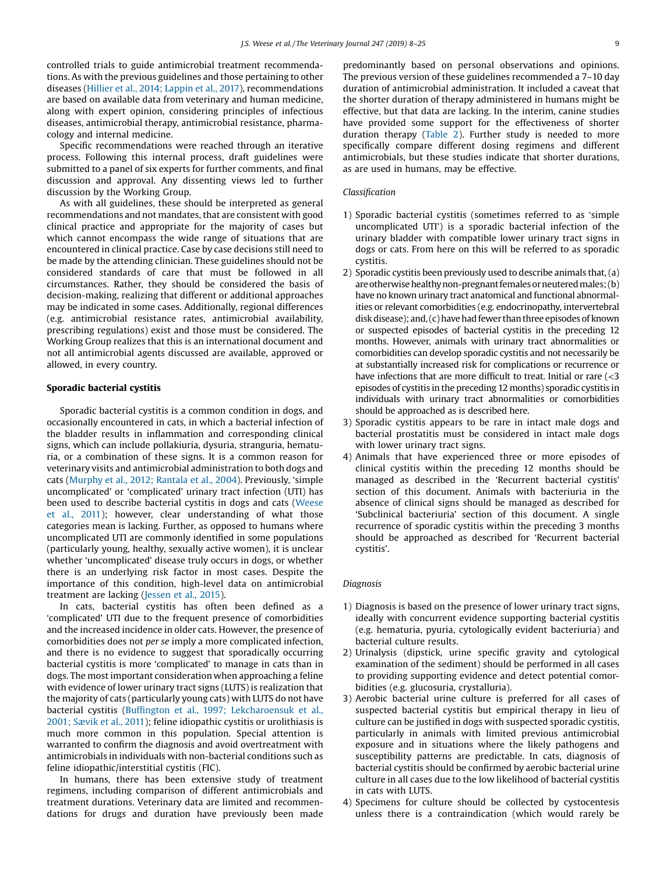controlled trials to guide antimicrobial treatment recommendations. As with the previous guidelines and those pertaining to other diseases (Hillier et al., 2014; [Lappin](#page-16-0) et al., 2017), recommendations are based on available data from veterinary and human medicine, along with expert opinion, considering principles of infectious diseases, antimicrobial therapy, antimicrobial resistance, pharmacology and internal medicine.

Specific recommendations were reached through an iterative process. Following this internal process, draft guidelines were submitted to a panel of six experts for further comments, and final discussion and approval. Any dissenting views led to further discussion by the Working Group.

As with all guidelines, these should be interpreted as general recommendations and not mandates, that are consistent with good clinical practice and appropriate for the majority of cases but which cannot encompass the wide range of situations that are encountered in clinical practice. Case by case decisions still need to be made by the attending clinician. These guidelines should not be considered standards of care that must be followed in all circumstances. Rather, they should be considered the basis of decision-making, realizing that different or additional approaches may be indicated in some cases. Additionally, regional differences (e.g. antimicrobial resistance rates, antimicrobial availability, prescribing regulations) exist and those must be considered. The Working Group realizes that this is an international document and not all antimicrobial agents discussed are available, approved or allowed, in every country.

## Sporadic bacterial cystitis

Sporadic bacterial cystitis is a common condition in dogs, and occasionally encountered in cats, in which a bacterial infection of the bladder results in inflammation and corresponding clinical signs, which can include pollakiuria, dysuria, stranguria, hematuria, or a combination of these signs. It is a common reason for veterinary visits and antimicrobial administration to both dogs and cats ([Murphy](#page-16-0) et al., 2012; Rantala et al., 2004). Previously, 'simple uncomplicated' or 'complicated' urinary tract infection (UTI) has been used to describe bacterial cystitis in dogs and cats [\(Weese](#page-17-0) et al., [2011\)](#page-17-0); however, clear understanding of what those categories mean is lacking. Further, as opposed to humans where uncomplicated UTI are commonly identified in some populations (particularly young, healthy, sexually active women), it is unclear whether 'uncomplicated' disease truly occurs in dogs, or whether there is an underlying risk factor in most cases. Despite the importance of this condition, high-level data on antimicrobial treatment are lacking [\(Jessen](#page-16-0) et al., 2015).

In cats, bacterial cystitis has often been defined as a 'complicated' UTI due to the frequent presence of comorbidities and the increased incidence in older cats. However, the presence of comorbidities does not per se imply a more complicated infection, and there is no evidence to suggest that sporadically occurring bacterial cystitis is more 'complicated' to manage in cats than in dogs. The most important consideration when approaching a feline with evidence of lower urinary tract signs (LUTS) is realization that the majority of cats (particularly young cats) with LUTS do not have bacterial cystitis (Buffington et al., 1997; [Lekcharoensuk](#page-15-0) et al., 2001; [Sævik](#page-15-0) et al., 2011); feline idiopathic cystitis or urolithiasis is much more common in this population. Special attention is warranted to confirm the diagnosis and avoid overtreatment with antimicrobials in individuals with non-bacterial conditions such as feline idiopathic/interstitial cystitis (FIC).

In humans, there has been extensive study of treatment regimens, including comparison of different antimicrobials and treatment durations. Veterinary data are limited and recommendations for drugs and duration have previously been made predominantly based on personal observations and opinions. The previous version of these guidelines recommended a 7–10 day duration of antimicrobial administration. It included a caveat that the shorter duration of therapy administered in humans might be effective, but that data are lacking. In the interim, canine studies have provided some support for the effectiveness of shorter duration therapy ([Table](#page-3-0) 2). Further study is needed to more specifically compare different dosing regimens and different antimicrobials, but these studies indicate that shorter durations, as are used in humans, may be effective.

#### Classification

- 1) Sporadic bacterial cystitis (sometimes referred to as 'simple uncomplicated UTI') is a sporadic bacterial infection of the urinary bladder with compatible lower urinary tract signs in dogs or cats. From here on this will be referred to as sporadic cystitis.
- 2) Sporadic cystitis been previously used to describe animals that, (a) are otherwise healthy non-pregnant females or neutered males; (b) have no known urinary tract anatomical and functional abnormalities or relevant comorbidities (e.g. endocrinopathy, intervertebral disk disease); and, (c) have had fewer than three episodes of known or suspected episodes of bacterial cystitis in the preceding 12 months. However, animals with urinary tract abnormalities or comorbidities can develop sporadic cystitis and not necessarily be at substantially increased risk for complications or recurrence or have infections that are more difficult to treat. Initial or rare (<3 episodes of cystitis in the preceding 12 months) sporadic cystitis in individuals with urinary tract abnormalities or comorbidities should be approached as is described here.
- 3) Sporadic cystitis appears to be rare in intact male dogs and bacterial prostatitis must be considered in intact male dogs with lower urinary tract signs.
- 4) Animals that have experienced three or more episodes of clinical cystitis within the preceding 12 months should be managed as described in the 'Recurrent bacterial cystitis' section of this document. Animals with bacteriuria in the absence of clinical signs should be managed as described for 'Subclinical bacteriuria' section of this document. A single recurrence of sporadic cystitis within the preceding 3 months should be approached as described for 'Recurrent bacterial cystitis'.

#### Diagnosis

- 1) Diagnosis is based on the presence of lower urinary tract signs, ideally with concurrent evidence supporting bacterial cystitis (e.g. hematuria, pyuria, cytologically evident bacteriuria) and bacterial culture results.
- 2) Urinalysis (dipstick, urine specific gravity and cytological examination of the sediment) should be performed in all cases to providing supporting evidence and detect potential comorbidities (e.g. glucosuria, crystalluria).
- 3) Aerobic bacterial urine culture is preferred for all cases of suspected bacterial cystitis but empirical therapy in lieu of culture can be justified in dogs with suspected sporadic cystitis, particularly in animals with limited previous antimicrobial exposure and in situations where the likely pathogens and susceptibility patterns are predictable. In cats, diagnosis of bacterial cystitis should be confirmed by aerobic bacterial urine culture in all cases due to the low likelihood of bacterial cystitis in cats with LUTS.
- 4) Specimens for culture should be collected by cystocentesis unless there is a contraindication (which would rarely be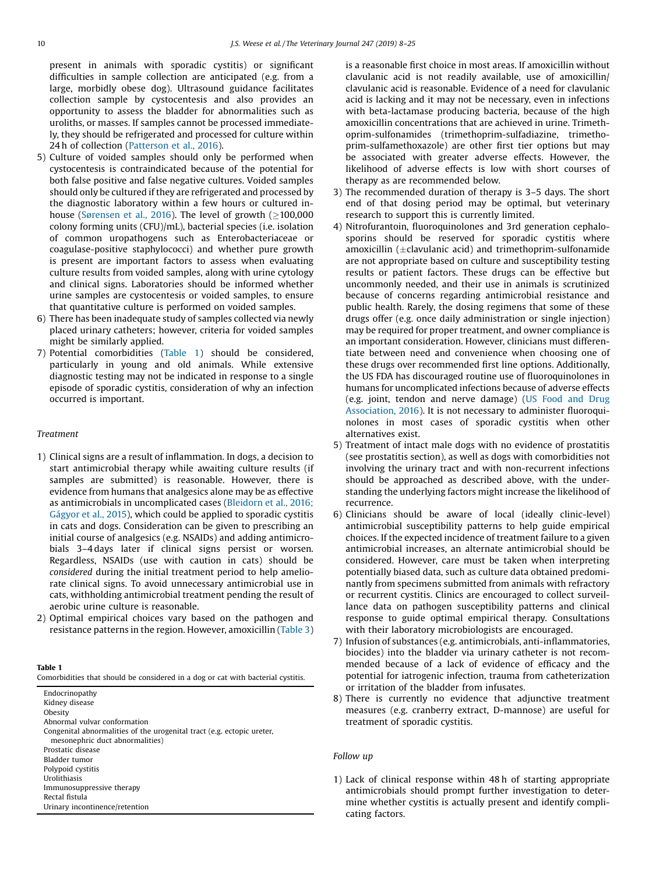<span id="page-2-0"></span>present in animals with sporadic cystitis) or significant difficulties in sample collection are anticipated (e.g. from a large, morbidly obese dog). Ultrasound guidance facilitates collection sample by cystocentesis and also provides an opportunity to assess the bladder for abnormalities such as uroliths, or masses. If samples cannot be processed immediately, they should be refrigerated and processed for culture within 24h of collection [\(Patterson](#page-17-0) et al., 2016).

- 5) Culture of voided samples should only be performed when cystocentesis is contraindicated because of the potential for both false positive and false negative cultures. Voided samples should only be cultured if they are refrigerated and processed by the diagnostic laboratory within a few hours or cultured in-house [\(Sørensen](#page-17-0) et al., 2016). The level of growth  $(>100,000$ colony forming units (CFU)/mL), bacterial species (i.e. isolation of common uropathogens such as Enterobacteriaceae or coagulase-positive staphylococci) and whether pure growth is present are important factors to assess when evaluating culture results from voided samples, along with urine cytology and clinical signs. Laboratories should be informed whether urine samples are cystocentesis or voided samples, to ensure that quantitative culture is performed on voided samples.
- 6) There has been inadequate study of samples collected via newly placed urinary catheters; however, criteria for voided samples might be similarly applied.
- 7) Potential comorbidities (Table 1) should be considered, particularly in young and old animals. While extensive diagnostic testing may not be indicated in response to a single episode of sporadic cystitis, consideration of why an infection occurred is important.

#### Treatment

- 1) Clinical signs are a result of inflammation. In dogs, a decision to start antimicrobial therapy while awaiting culture results (if samples are submitted) is reasonable. However, there is evidence from humans that analgesics alone may be as effective as antimicrobials in uncomplicated cases [\(Bleidorn](#page-15-0) et al., 2016; [Gágyor](#page-15-0) et al., 2015), which could be applied to sporadic cystitis in cats and dogs. Consideration can be given to prescribing an initial course of analgesics (e.g. NSAIDs) and adding antimicrobials 3–4 days later if clinical signs persist or worsen. Regardless, NSAIDs (use with caution in cats) should be considered during the initial treatment period to help ameliorate clinical signs. To avoid unnecessary antimicrobial use in cats, withholding antimicrobial treatment pending the result of aerobic urine culture is reasonable.
- 2) Optimal empirical choices vary based on the pathogen and resistance patterns in the region. However, amoxicillin ([Table](#page-4-0) 3)

#### Table 1

Comorbidities that should be considered in a dog or cat with bacterial cystitis.

Endocrinopathy Kidney disease **Obesity** Abnormal vulvar conformation Congenital abnormalities of the urogenital tract (e.g. ectopic ureter, mesonephric duct abnormalities) Prostatic disease Bladder tumor Polypoid cystitis Urolithiasis Immunosuppressive therapy Rectal fistula Urinary incontinence/retention

is a reasonable first choice in most areas. If amoxicillin without clavulanic acid is not readily available, use of amoxicillin/ clavulanic acid is reasonable. Evidence of a need for clavulanic acid is lacking and it may not be necessary, even in infections with beta-lactamase producing bacteria, because of the high amoxicillin concentrations that are achieved in urine. Trimethoprim-sulfonamides (trimethoprim-sulfadiazine, trimethoprim-sulfamethoxazole) are other first tier options but may be associated with greater adverse effects. However, the likelihood of adverse effects is low with short courses of therapy as are recommended below.

- 3) The recommended duration of therapy is 3–5 days. The short end of that dosing period may be optimal, but veterinary research to support this is currently limited.
- 4) Nitrofurantoin, fluoroquinolones and 3rd generation cephalosporins should be reserved for sporadic cystitis where amoxicillin ( $\pm$ clavulanic acid) and trimethoprim-sulfonamide are not appropriate based on culture and susceptibility testing results or patient factors. These drugs can be effective but uncommonly needed, and their use in animals is scrutinized because of concerns regarding antimicrobial resistance and public health. Rarely, the dosing regimens that some of these drugs offer (e.g. once daily administration or single injection) may be required for proper treatment, and owner compliance is an important consideration. However, clinicians must differentiate between need and convenience when choosing one of these drugs over recommended first line options. Additionally, the US FDA has discouraged routine use of fluoroquinolones in humans for uncomplicated infections because of adverse effects (e.g. joint, tendon and nerve damage) (US Food and [Drug](#page-17-0) [Association,](#page-17-0) 2016). It is not necessary to administer fluoroquinolones in most cases of sporadic cystitis when other alternatives exist.
- 5) Treatment of intact male dogs with no evidence of prostatitis (see prostatitis section), as well as dogs with comorbidities not involving the urinary tract and with non-recurrent infections should be approached as described above, with the understanding the underlying factors might increase the likelihood of recurrence.
- 6) Clinicians should be aware of local (ideally clinic-level) antimicrobial susceptibility patterns to help guide empirical choices. If the expected incidence of treatment failure to a given antimicrobial increases, an alternate antimicrobial should be considered. However, care must be taken when interpreting potentially biased data, such as culture data obtained predominantly from specimens submitted from animals with refractory or recurrent cystitis. Clinics are encouraged to collect surveillance data on pathogen susceptibility patterns and clinical response to guide optimal empirical therapy. Consultations with their laboratory microbiologists are encouraged.
- 7) Infusion of substances (e.g. antimicrobials, anti-inflammatories, biocides) into the bladder via urinary catheter is not recommended because of a lack of evidence of efficacy and the potential for iatrogenic infection, trauma from catheterization or irritation of the bladder from infusates.
- 8) There is currently no evidence that adjunctive treatment measures (e.g. cranberry extract, D-mannose) are useful for treatment of sporadic cystitis.

#### Follow up

1) Lack of clinical response within 48 h of starting appropriate antimicrobials should prompt further investigation to determine whether cystitis is actually present and identify complicating factors.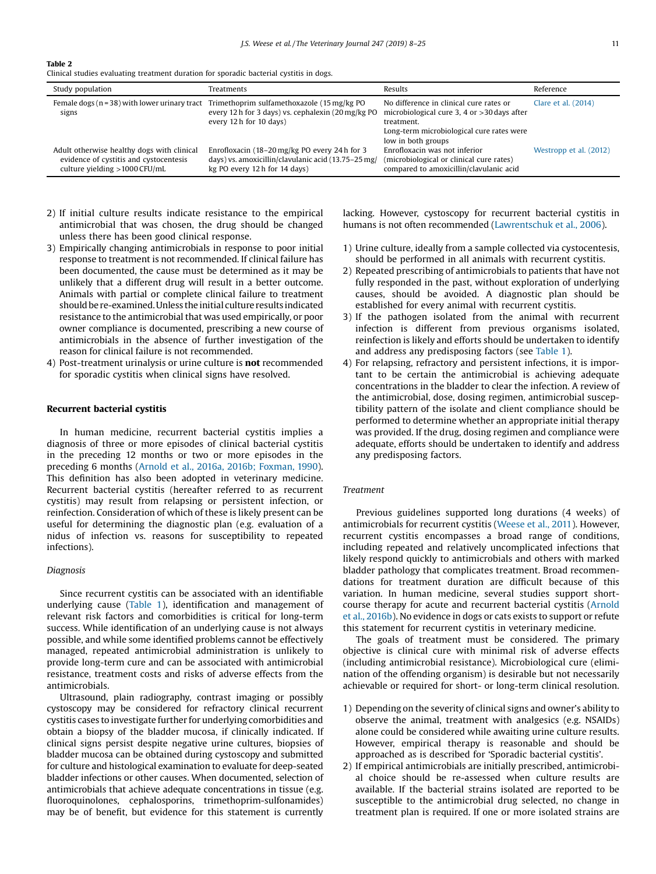<span id="page-3-0"></span>Table 2

Clinical studies evaluating treatment duration for sporadic bacterial cystitis in dogs.

| Study population                                                                                                      | Treatments                                                                                                                                                                    | <b>Results</b>                                                                                                                                       | Reference              |
|-----------------------------------------------------------------------------------------------------------------------|-------------------------------------------------------------------------------------------------------------------------------------------------------------------------------|------------------------------------------------------------------------------------------------------------------------------------------------------|------------------------|
| signs                                                                                                                 | Female dogs ( $n = 38$ ) with lower urinary tract Trimethoprim sulfamethoxazole (15 mg/kg PO<br>every 12 h for 3 days) vs. cephalexin (20 mg/kg PO<br>every 12 h for 10 days) | No difference in clinical cure rates or<br>microbiological cure 3, 4 or $>$ 30 days after<br>treatment.<br>Long-term microbiological cure rates were | Clare et al. (2014)    |
| Adult otherwise healthy dogs with clinical<br>evidence of cystitis and cystocentesis<br>culture yielding >1000 CFU/mL | Enrofloxacin (18–20 mg/kg PO every 24 h for 3<br>days) vs. amoxicillin/clavulanic acid (13.75-25 mg/<br>kg PO every 12 h for 14 days)                                         | low in both groups<br>Enrofloxacin was not inferior<br>(microbiological or clinical cure rates)<br>compared to amoxicillin/clavulanic acid           | Westropp et al. (2012) |

- 2) If initial culture results indicate resistance to the empirical antimicrobial that was chosen, the drug should be changed unless there has been good clinical response.
- 3) Empirically changing antimicrobials in response to poor initial response to treatment is not recommended. If clinical failure has been documented, the cause must be determined as it may be unlikely that a different drug will result in a better outcome. Animals with partial or complete clinical failure to treatment should be re-examined. Unless the initial culture results indicated resistance to the antimicrobial that was used empirically, or poor owner compliance is documented, prescribing a new course of antimicrobials in the absence of further investigation of the reason for clinical failure is not recommended.
- 4) Post-treatment urinalysis or urine culture is not recommended for sporadic cystitis when clinical signs have resolved.

#### Recurrent bacterial cystitis

In human medicine, recurrent bacterial cystitis implies a diagnosis of three or more episodes of clinical bacterial cystitis in the preceding 12 months or two or more episodes in the preceding 6 months (Arnold et al., 2016a, 2016b; [Foxman,](#page-15-0) 1990). This definition has also been adopted in veterinary medicine. Recurrent bacterial cystitis (hereafter referred to as recurrent cystitis) may result from relapsing or persistent infection, or reinfection. Consideration of which of these is likely present can be useful for determining the diagnostic plan (e.g. evaluation of a nidus of infection vs. reasons for susceptibility to repeated infections).

## Diagnosis

Since recurrent cystitis can be associated with an identifiable underlying cause ([Table](#page-2-0) 1), identification and management of relevant risk factors and comorbidities is critical for long-term success. While identification of an underlying cause is not always possible, and while some identified problems cannot be effectively managed, repeated antimicrobial administration is unlikely to provide long-term cure and can be associated with antimicrobial resistance, treatment costs and risks of adverse effects from the antimicrobials.

Ultrasound, plain radiography, contrast imaging or possibly cystoscopy may be considered for refractory clinical recurrent cystitis cases to investigate further for underlying comorbidities and obtain a biopsy of the bladder mucosa, if clinically indicated. If clinical signs persist despite negative urine cultures, biopsies of bladder mucosa can be obtained during cystoscopy and submitted for culture and histological examination to evaluate for deep-seated bladder infections or other causes. When documented, selection of antimicrobials that achieve adequate concentrations in tissue (e.g. fluoroquinolones, cephalosporins, trimethoprim-sulfonamides) may be of benefit, but evidence for this statement is currently

lacking. However, cystoscopy for recurrent bacterial cystitis in humans is not often recommended [\(Lawrentschuk](#page-16-0) et al., 2006).

- 1) Urine culture, ideally from a sample collected via cystocentesis, should be performed in all animals with recurrent cystitis.
- 2) Repeated prescribing of antimicrobials to patients that have not fully responded in the past, without exploration of underlying causes, should be avoided. A diagnostic plan should be established for every animal with recurrent cystitis.
- 3) If the pathogen isolated from the animal with recurrent infection is different from previous organisms isolated, reinfection is likely and efforts should be undertaken to identify and address any predisposing factors (see [Table](#page-2-0) 1).
- 4) For relapsing, refractory and persistent infections, it is important to be certain the antimicrobial is achieving adequate concentrations in the bladder to clear the infection. A review of the antimicrobial, dose, dosing regimen, antimicrobial susceptibility pattern of the isolate and client compliance should be performed to determine whether an appropriate initial therapy was provided. If the drug, dosing regimen and compliance were adequate, efforts should be undertaken to identify and address any predisposing factors.

#### Treatment

Previous guidelines supported long durations (4 weeks) of antimicrobials for recurrent cystitis ([Weese](#page-17-0) et al., 2011). However, recurrent cystitis encompasses a broad range of conditions, including repeated and relatively uncomplicated infections that likely respond quickly to antimicrobials and others with marked bladder pathology that complicates treatment. Broad recommendations for treatment duration are difficult because of this variation. In human medicine, several studies support shortcourse therapy for acute and recurrent bacterial cystitis ([Arnold](#page-15-0) et al., [2016b](#page-15-0)). No evidence in dogs or cats exists to support or refute this statement for recurrent cystitis in veterinary medicine.

The goals of treatment must be considered. The primary objective is clinical cure with minimal risk of adverse effects (including antimicrobial resistance). Microbiological cure (elimination of the offending organism) is desirable but not necessarily achievable or required for short- or long-term clinical resolution.

- 1) Depending on the severity of clinical signs and owner's ability to observe the animal, treatment with analgesics (e.g. NSAIDs) alone could be considered while awaiting urine culture results. However, empirical therapy is reasonable and should be approached as is described for 'Sporadic bacterial cystitis'.
- 2) If empirical antimicrobials are initially prescribed, antimicrobial choice should be re-assessed when culture results are available. If the bacterial strains isolated are reported to be susceptible to the antimicrobial drug selected, no change in treatment plan is required. If one or more isolated strains are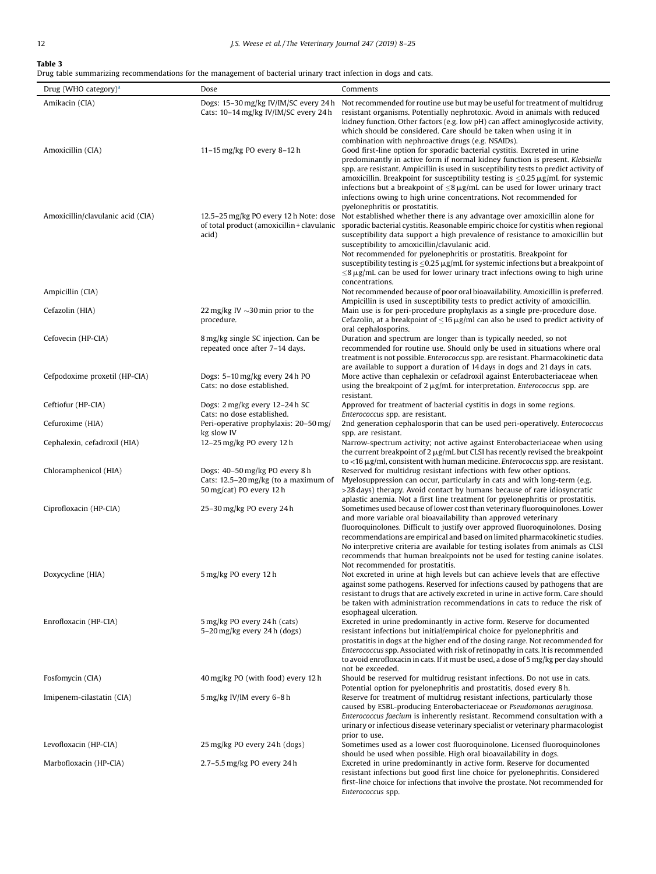<span id="page-4-0"></span>Table 3

Drug table summarizing recommendations for the management of bacterial urinary tract infection in dogs and cats.

| Drug (WHO category) <sup>a</sup>  | Dose                                                                                                 | Comments                                                                                                                                                                                                                                                                                                                                                                                                                                                                                                                                                                                                                                                                                     |
|-----------------------------------|------------------------------------------------------------------------------------------------------|----------------------------------------------------------------------------------------------------------------------------------------------------------------------------------------------------------------------------------------------------------------------------------------------------------------------------------------------------------------------------------------------------------------------------------------------------------------------------------------------------------------------------------------------------------------------------------------------------------------------------------------------------------------------------------------------|
| Amikacin (CIA)                    | Dogs: 15-30 mg/kg IV/IM/SC every 24 h<br>Cats: 10–14 mg/kg IV/IM/SC every 24 h                       | Not recommended for routine use but may be useful for treatment of multidrug<br>resistant organisms. Potentially nephrotoxic. Avoid in animals with reduced<br>kidney function. Other factors (e.g. low pH) can affect aminoglycoside activity,<br>which should be considered. Care should be taken when using it in                                                                                                                                                                                                                                                                                                                                                                         |
| Amoxicillin (CIA)                 | 11-15 mg/kg PO every 8-12 h                                                                          | combination with nephroactive drugs (e.g. NSAIDs).<br>Good first-line option for sporadic bacterial cystitis. Excreted in urine<br>predominantly in active form if normal kidney function is present. Klebsiella<br>spp. are resistant. Ampicillin is used in susceptibility tests to predict activity of<br>amoxicillin. Breakpoint for susceptibility testing is $\leq 0.25 \,\mu$ g/mL for systemic<br>infections but a breakpoint of $\leq$ 8 $\mu$ g/mL can be used for lower urinary tract                                                                                                                                                                                             |
| Amoxicillin/clavulanic acid (CIA) | 12.5-25 mg/kg PO every 12 h Note: dose<br>of total product (amoxicillin + clavulanic<br>acid)        | infections owing to high urine concentrations. Not recommended for<br>pyelonephritis or prostatitis.<br>Not established whether there is any advantage over amoxicillin alone for<br>sporadic bacterial cystitis. Reasonable empiric choice for cystitis when regional<br>susceptibility data support a high prevalence of resistance to amoxicillin but<br>susceptibility to amoxicillin/clavulanic acid.<br>Not recommended for pyelonephritis or prostatitis. Breakpoint for<br>susceptibility testing is $\leq$ 0.25 $\mu$ g/mL for systemic infections but a breakpoint of<br>$\leq$ 8 $\mu$ g/mL can be used for lower urinary tract infections owing to high urine<br>concentrations. |
| Ampicillin (CIA)                  |                                                                                                      | Not recommended because of poor oral bioavailability. Amoxicillin is preferred.                                                                                                                                                                                                                                                                                                                                                                                                                                                                                                                                                                                                              |
| Cefazolin (HIA)                   | 22 mg/kg IV $\sim$ 30 min prior to the<br>procedure.                                                 | Ampicillin is used in susceptibility tests to predict activity of amoxicillin.<br>Main use is for peri-procedure prophylaxis as a single pre-procedure dose.<br>Cefazolin, at a breakpoint of $\leq$ 16 $\mu$ g/ml can also be used to predict activity of<br>oral cephalosporins.                                                                                                                                                                                                                                                                                                                                                                                                           |
| Cefovecin (HP-CIA)                | 8 mg/kg single SC injection. Can be<br>repeated once after 7-14 days.                                | Duration and spectrum are longer than is typically needed, so not<br>recommended for routine use. Should only be used in situations where oral<br>treatment is not possible. Enterococcus spp. are resistant. Pharmacokinetic data<br>are available to support a duration of 14 days in dogs and 21 days in cats.                                                                                                                                                                                                                                                                                                                                                                            |
| Cefpodoxime proxetil (HP-CIA)     | Dogs: 5-10 mg/kg every 24h PO<br>Cats: no dose established.                                          | More active than cephalexin or cefadroxil against Enterobacteriaceae when<br>using the breakpoint of $2 \mu g/mL$ for interpretation. <i>Enterococcus</i> spp. are<br>resistant.                                                                                                                                                                                                                                                                                                                                                                                                                                                                                                             |
| Ceftiofur (HP-CIA)                | Dogs: 2 mg/kg every 12-24 h SC<br>Cats: no dose established.                                         | Approved for treatment of bacterial cystitis in dogs in some regions.<br>Enterococcus spp. are resistant.                                                                                                                                                                                                                                                                                                                                                                                                                                                                                                                                                                                    |
| Cefuroxime (HIA)                  | Peri-operative prophylaxis: 20-50 mg/<br>kg slow IV                                                  | 2nd generation cephalosporin that can be used peri-operatively. <i>Enterococcus</i><br>spp. are resistant.                                                                                                                                                                                                                                                                                                                                                                                                                                                                                                                                                                                   |
| Cephalexin, cefadroxil (HIA)      | 12-25 mg/kg PO every 12 h                                                                            | Narrow-spectrum activity; not active against Enterobacteriaceae when using<br>the current breakpoint of $2 \mu g/mL$ but CLSI has recently revised the breakpoint<br>to $\langle$ 16 $\mu$ g/ml, consistent with human medicine. <i>Enterococcus</i> spp. are resistant.                                                                                                                                                                                                                                                                                                                                                                                                                     |
| Chloramphenicol (HIA)             | Dogs: 40-50 mg/kg PO every 8 h<br>Cats: $12.5-20$ mg/kg (to a maximum of<br>50 mg/cat) PO every 12 h | Reserved for multidrug resistant infections with few other options.<br>Myelosuppression can occur, particularly in cats and with long-term (e.g.<br>>28 days) therapy. Avoid contact by humans because of rare idiosyncratic<br>aplastic anemia. Not a first line treatment for pyelonephritis or prostatitis.                                                                                                                                                                                                                                                                                                                                                                               |
| Ciprofloxacin (HP-CIA)            | 25-30 mg/kg PO every 24 h                                                                            | Sometimes used because of lower cost than veterinary fluoroquinolones. Lower<br>and more variable oral bioavailability than approved veterinary<br>fluoroquinolones. Difficult to justify over approved fluoroquinolones. Dosing<br>recommendations are empirical and based on limited pharmacokinetic studies.<br>No interpretive criteria are available for testing isolates from animals as CLSI<br>recommends that human breakpoints not be used for testing canine isolates.<br>Not recommended for prostatitis.                                                                                                                                                                        |
| Doxycycline (HIA)                 | 5 mg/kg PO every 12 h                                                                                | Not excreted in urine at high levels but can achieve levels that are effective<br>against some pathogens. Reserved for infections caused by pathogens that are<br>resistant to drugs that are actively excreted in urine in active form. Care should<br>be taken with administration recommendations in cats to reduce the risk of<br>esophageal ulceration.                                                                                                                                                                                                                                                                                                                                 |
| Enrofloxacin (HP-CIA)             | 5 mg/kg PO every 24 h (cats)<br>5-20 mg/kg every 24 h (dogs)                                         | Excreted in urine predominantly in active form. Reserve for documented<br>resistant infections but initial/empirical choice for pyelonephritis and<br>prostatitis in dogs at the higher end of the dosing range. Not recommended for<br>Enterococcus spp. Associated with risk of retinopathy in cats. It is recommended<br>to avoid enrofloxacin in cats. If it must be used, a dose of 5 mg/kg per day should<br>not be exceeded.                                                                                                                                                                                                                                                          |
| Fosfomycin (CIA)                  | 40 mg/kg PO (with food) every 12 h                                                                   | Should be reserved for multidrug resistant infections. Do not use in cats.<br>Potential option for pyelonephritis and prostatitis, dosed every 8h.                                                                                                                                                                                                                                                                                                                                                                                                                                                                                                                                           |
| Imipenem-cilastatin (CIA)         | 5 mg/kg IV/IM every 6-8 h                                                                            | Reserve for treatment of multidrug resistant infections, particularly those<br>caused by ESBL-producing Enterobacteriaceae or Pseudomonas aeruginosa.<br>Enterococcus faecium is inherently resistant. Recommend consultation with a<br>urinary or infectious disease veterinary specialist or veterinary pharmacologist<br>prior to use.                                                                                                                                                                                                                                                                                                                                                    |
| Levofloxacin (HP-CIA)             | 25 mg/kg PO every 24h (dogs)                                                                         | Sometimes used as a lower cost fluoroquinolone. Licensed fluoroquinolones<br>should be used when possible. High oral bioavailability in dogs.                                                                                                                                                                                                                                                                                                                                                                                                                                                                                                                                                |
| Marbofloxacin (HP-CIA)            | $2.7 - 5.5$ mg/kg PO every 24 h                                                                      | Excreted in urine predominantly in active form. Reserve for documented<br>resistant infections but good first line choice for pyelonephritis. Considered<br>first-line choice for infections that involve the prostate. Not recommended for<br>Enterococcus spp.                                                                                                                                                                                                                                                                                                                                                                                                                             |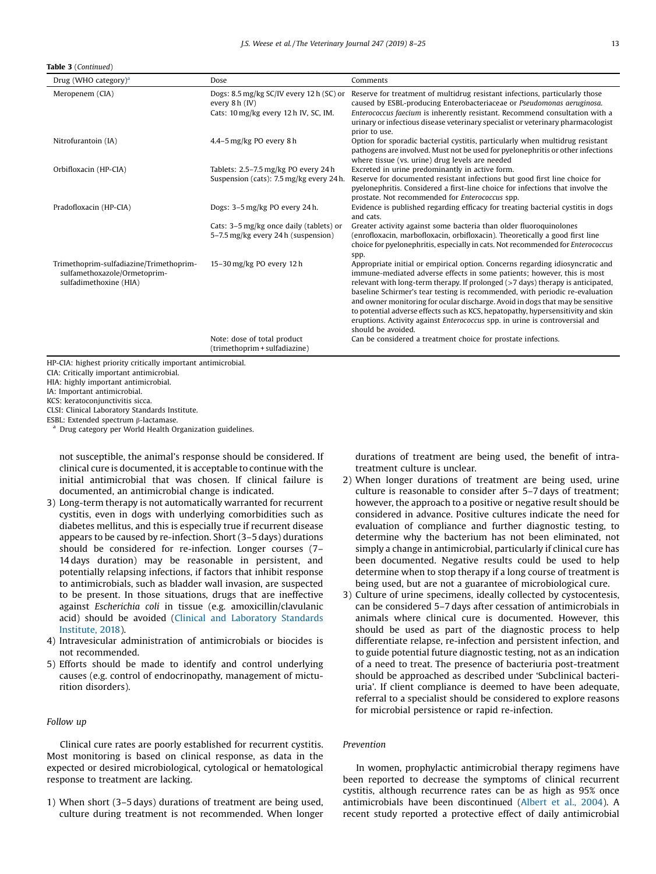<span id="page-5-0"></span>Table 3 (Continued)

| Drug (WHO category) <sup>a</sup>                                                                  | Dose                                                                                                | Comments                                                                                                                                                                                                                                                                                                                                                                                                                                                                                                                                                                                                                |
|---------------------------------------------------------------------------------------------------|-----------------------------------------------------------------------------------------------------|-------------------------------------------------------------------------------------------------------------------------------------------------------------------------------------------------------------------------------------------------------------------------------------------------------------------------------------------------------------------------------------------------------------------------------------------------------------------------------------------------------------------------------------------------------------------------------------------------------------------------|
| Meropenem (CIA)                                                                                   | Dogs: 8.5 mg/kg SC/IV every 12 h (SC) or<br>every 8 h (IV)<br>Cats: 10 mg/kg every 12 h IV, SC, IM. | Reserve for treatment of multidrug resistant infections, particularly those<br>caused by ESBL-producing Enterobacteriaceae or Pseudomonas aeruginosa.<br>Enterococcus faecium is inherently resistant. Recommend consultation with a<br>urinary or infectious disease veterinary specialist or veterinary pharmacologist<br>prior to use.                                                                                                                                                                                                                                                                               |
| Nitrofurantoin (IA)                                                                               | 4.4–5 mg/kg PO every $8 h$                                                                          | Option for sporadic bacterial cystitis, particularly when multidrug resistant<br>pathogens are involved. Must not be used for pyelonephritis or other infections<br>where tissue (vs. urine) drug levels are needed                                                                                                                                                                                                                                                                                                                                                                                                     |
| Orbifloxacin (HP-CIA)                                                                             | Tablets: 2.5-7.5 mg/kg PO every 24 h                                                                | Excreted in urine predominantly in active form.                                                                                                                                                                                                                                                                                                                                                                                                                                                                                                                                                                         |
|                                                                                                   | Suspension (cats): 7.5 mg/kg every 24 h.                                                            | Reserve for documented resistant infections but good first line choice for<br>pyelonephritis. Considered a first-line choice for infections that involve the<br>prostate. Not recommended for Enterococcus spp.                                                                                                                                                                                                                                                                                                                                                                                                         |
| Pradofloxacin (HP-CIA)                                                                            | Dogs: 3-5 mg/kg PO every 24 h.                                                                      | Evidence is published regarding efficacy for treating bacterial cystitis in dogs<br>and cats.                                                                                                                                                                                                                                                                                                                                                                                                                                                                                                                           |
|                                                                                                   | Cats: 3–5 mg/kg once daily (tablets) or<br>5-7.5 mg/kg every 24h (suspension)                       | Greater activity against some bacteria than older fluoroquinolones<br>(enrofloxacin, marbofloxacin, orbifloxacin). Theoretically a good first line<br>choice for pyelonephritis, especially in cats. Not recommended for <i>Enterococcus</i><br>spp.                                                                                                                                                                                                                                                                                                                                                                    |
| Trimethoprim-sulfadiazine/Trimethoprim-<br>sulfamethoxazole/Ormetoprim-<br>sulfadimethoxine (HIA) | 15-30 mg/kg PO every $12 h$                                                                         | Appropriate initial or empirical option. Concerns regarding idiosyncratic and<br>immune-mediated adverse effects in some patients; however, this is most<br>relevant with long-term therapy. If prolonged $(>7 \text{ days})$ therapy is anticipated,<br>baseline Schirmer's tear testing is recommended, with periodic re-evaluation<br>and owner monitoring for ocular discharge. Avoid in dogs that may be sensitive<br>to potential adverse effects such as KCS, hepatopathy, hypersensitivity and skin<br>eruptions. Activity against <i>Enterococcus</i> spp. in urine is controversial and<br>should be avoided. |
|                                                                                                   | Note: dose of total product<br>(trimethoprim + sulfadiazine)                                        | Can be considered a treatment choice for prostate infections.                                                                                                                                                                                                                                                                                                                                                                                                                                                                                                                                                           |
| HP-CIA: highest priority critically important antimicrobial.                                      |                                                                                                     |                                                                                                                                                                                                                                                                                                                                                                                                                                                                                                                                                                                                                         |

CIA: Critically important antimicrobial.

HIA: highly important antimicrobial.

IA: Important antimicrobial.

KCS: keratoconjunctivitis sicca.

CLSI: Clinical Laboratory Standards Institute.<br>ESBL: Extended spectrum  $\beta$ -lactamase.

Drug category per World Health Organization guidelines.

not susceptible, the animal's response should be considered. If clinical cure is documented, it is acceptable to continue with the initial antimicrobial that was chosen. If clinical failure is documented, an antimicrobial change is indicated.

- 3) Long-term therapy is not automatically warranted for recurrent cystitis, even in dogs with underlying comorbidities such as diabetes mellitus, and this is especially true if recurrent disease appears to be caused by re-infection. Short (3–5 days) durations should be considered for re-infection. Longer courses (7– 14 days duration) may be reasonable in persistent, and potentially relapsing infections, if factors that inhibit response to antimicrobials, such as bladder wall invasion, are suspected to be present. In those situations, drugs that are ineffective against Escherichia coli in tissue (e.g. amoxicillin/clavulanic acid) should be avoided (Clinical and [Laboratory](#page-15-0) Standards [Institute,](#page-15-0) 2018).
- 4) Intravesicular administration of antimicrobials or biocides is not recommended.
- 5) Efforts should be made to identify and control underlying causes (e.g. control of endocrinopathy, management of micturition disorders).

## Follow up

Clinical cure rates are poorly established for recurrent cystitis. Most monitoring is based on clinical response, as data in the expected or desired microbiological, cytological or hematological response to treatment are lacking.

1) When short (3–5 days) durations of treatment are being used, culture during treatment is not recommended. When longer durations of treatment are being used, the benefit of intratreatment culture is unclear.

- 2) When longer durations of treatment are being used, urine culture is reasonable to consider after 5–7 days of treatment; however, the approach to a positive or negative result should be considered in advance. Positive cultures indicate the need for evaluation of compliance and further diagnostic testing, to determine why the bacterium has not been eliminated, not simply a change in antimicrobial, particularly if clinical cure has been documented. Negative results could be used to help determine when to stop therapy if a long course of treatment is being used, but are not a guarantee of microbiological cure.
- 3) Culture of urine specimens, ideally collected by cystocentesis, can be considered 5–7 days after cessation of antimicrobials in animals where clinical cure is documented. However, this should be used as part of the diagnostic process to help differentiate relapse, re-infection and persistent infection, and to guide potential future diagnostic testing, not as an indication of a need to treat. The presence of bacteriuria post-treatment should be approached as described under 'Subclinical bacteriuria'. If client compliance is deemed to have been adequate, referral to a specialist should be considered to explore reasons for microbial persistence or rapid re-infection.

#### Prevention

In women, prophylactic antimicrobial therapy regimens have been reported to decrease the symptoms of clinical recurrent cystitis, although recurrence rates can be as high as 95% once antimicrobials have been discontinued [\(Albert](#page-15-0) et al., 2004). A recent study reported a protective effect of daily antimicrobial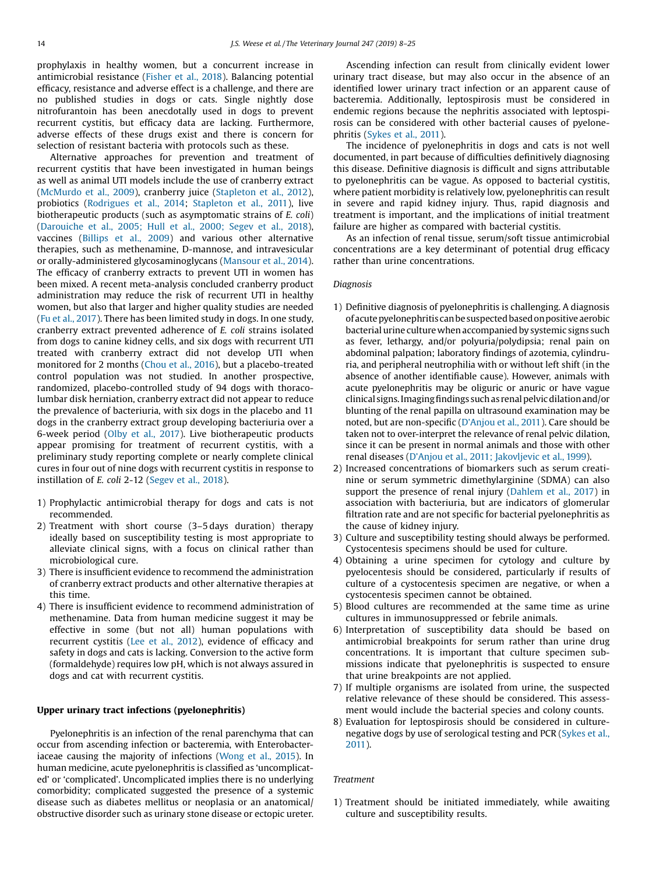prophylaxis in healthy women, but a concurrent increase in antimicrobial resistance ([Fisher](#page-15-0) et al., 2018). Balancing potential efficacy, resistance and adverse effect is a challenge, and there are no published studies in dogs or cats. Single nightly dose nitrofurantoin has been anecdotally used in dogs to prevent recurrent cystitis, but efficacy data are lacking. Furthermore, adverse effects of these drugs exist and there is concern for selection of resistant bacteria with protocols such as these.

Alternative approaches for prevention and treatment of recurrent cystitis that have been investigated in human beings as well as animal UTI models include the use of cranberry extract ([McMurdo](#page-16-0) et al., 2009), cranberry juice [\(Stapleton](#page-17-0) et al., 2012), probiotics [\(Rodrigues](#page-17-0) et al., 2014; [Stapleton](#page-17-0) et al., 2011), live biotherapeutic products (such as asymptomatic strains of E. coli) ([Darouiche](#page-15-0) et al., 2005; Hull et al., 2000; Segev et al., 2018), vaccines ([Billips](#page-15-0) et al., 2009) and various other alternative therapies, such as methenamine, D-mannose, and intravesicular or orally-administered glycosaminoglycans ([Mansour](#page-16-0) et al., 2014). The efficacy of cranberry extracts to prevent UTI in women has been mixed. A recent meta-analysis concluded cranberry product administration may reduce the risk of recurrent UTI in healthy women, but also that larger and higher quality studies are needed (Fu et al., [2017\)](#page-16-0). There has been limited study in dogs. In one study, cranberry extract prevented adherence of E. coli strains isolated from dogs to canine kidney cells, and six dogs with recurrent UTI treated with cranberry extract did not develop UTI when monitored for 2 months [\(Chou](#page-15-0) et al., 2016), but a placebo-treated control population was not studied. In another prospective, randomized, placebo-controlled study of 94 dogs with thoracolumbar disk herniation, cranberry extract did not appear to reduce the prevalence of bacteriuria, with six dogs in the placebo and 11 dogs in the cranberry extract group developing bacteriuria over a 6-week period (Olby et al., [2017](#page-17-0)). Live biotherapeutic products appear promising for treatment of recurrent cystitis, with a preliminary study reporting complete or nearly complete clinical cures in four out of nine dogs with recurrent cystitis in response to instillation of E. coli 2-12 [\(Segev](#page-17-0) et al., 2018).

- 1) Prophylactic antimicrobial therapy for dogs and cats is not recommended.
- 2) Treatment with short course (3–5 days duration) therapy ideally based on susceptibility testing is most appropriate to alleviate clinical signs, with a focus on clinical rather than microbiological cure.
- 3) There is insufficient evidence to recommend the administration of cranberry extract products and other alternative therapies at this time.
- 4) There is insufficient evidence to recommend administration of methenamine. Data from human medicine suggest it may be effective in some (but not all) human populations with recurrent cystitis (Lee et al., [2012\)](#page-16-0), evidence of efficacy and safety in dogs and cats is lacking. Conversion to the active form (formaldehyde) requires low pH, which is not always assured in dogs and cat with recurrent cystitis.

## Upper urinary tract infections (pyelonephritis)

Pyelonephritis is an infection of the renal parenchyma that can occur from ascending infection or bacteremia, with Enterobacteriaceae causing the majority of infections [\(Wong](#page-17-0) et al., 2015). In human medicine, acute pyelonephritis is classified as 'uncomplicated' or 'complicated'. Uncomplicated implies there is no underlying comorbidity; complicated suggested the presence of a systemic disease such as diabetes mellitus or neoplasia or an anatomical/ obstructive disorder such as urinary stone disease or ectopic ureter.

Ascending infection can result from clinically evident lower urinary tract disease, but may also occur in the absence of an identified lower urinary tract infection or an apparent cause of bacteremia. Additionally, leptospirosis must be considered in endemic regions because the nephritis associated with leptospirosis can be considered with other bacterial causes of pyelonephritis ([Sykes](#page-17-0) et al., 2011).

The incidence of pyelonephritis in dogs and cats is not well documented, in part because of difficulties definitively diagnosing this disease. Definitive diagnosis is difficult and signs attributable to pyelonephritis can be vague. As opposed to bacterial cystitis, where patient morbidity is relatively low, pyelonephritis can result in severe and rapid kidney injury. Thus, rapid diagnosis and treatment is important, and the implications of initial treatment failure are higher as compared with bacterial cystitis.

As an infection of renal tissue, serum/soft tissue antimicrobial concentrations are a key determinant of potential drug efficacy rather than urine concentrations.

## Diagnosis

- 1) Definitive diagnosis of pyelonephritis is challenging. A diagnosis of acute pyelonephritiscanbe suspected basedonpositive aerobic bacterial urine culture when accompanied by systemic signs such as fever, lethargy, and/or polyuria/polydipsia; renal pain on abdominal palpation; laboratory findings of azotemia, cylindruria, and peripheral neutrophilia with or without left shift (in the absence of another identifiable cause). However, animals with acute pyelonephritis may be oliguric or anuric or have vague clinical signs.Imagingfindings suchas renalpelvicdilation and/or blunting of the renal papilla on ultrasound examination may be noted, but are non-specific (D'[Anjou](#page-15-0) et al., 2011). Care should be taken not to over-interpret the relevance of renal pelvic dilation, since it can be present in normal animals and those with other renal diseases (D'Anjou et al., 2011; [Jakovljevic](#page-15-0) et al., 1999).
- 2) Increased concentrations of biomarkers such as serum creatinine or serum symmetric dimethylarginine (SDMA) can also support the presence of renal injury [\(Dahlem](#page-15-0) et al., 2017) in association with bacteriuria, but are indicators of glomerular filtration rate and are not specific for bacterial pyelonephritis as the cause of kidney injury.
- 3) Culture and susceptibility testing should always be performed. Cystocentesis specimens should be used for culture.
- 4) Obtaining a urine specimen for cytology and culture by pyelocentesis should be considered, particularly if results of culture of a cystocentesis specimen are negative, or when a cystocentesis specimen cannot be obtained.
- 5) Blood cultures are recommended at the same time as urine cultures in immunosuppressed or febrile animals.
- 6) Interpretation of susceptibility data should be based on antimicrobial breakpoints for serum rather than urine drug concentrations. It is important that culture specimen submissions indicate that pyelonephritis is suspected to ensure that urine breakpoints are not applied.
- 7) If multiple organisms are isolated from urine, the suspected relative relevance of these should be considered. This assessment would include the bacterial species and colony counts.
- 8) Evaluation for leptospirosis should be considered in culturenegative dogs by use of serological testing and PCR [\(Sykes](#page-17-0) et al., [2011](#page-17-0)).

#### Treatment

1) Treatment should be initiated immediately, while awaiting culture and susceptibility results.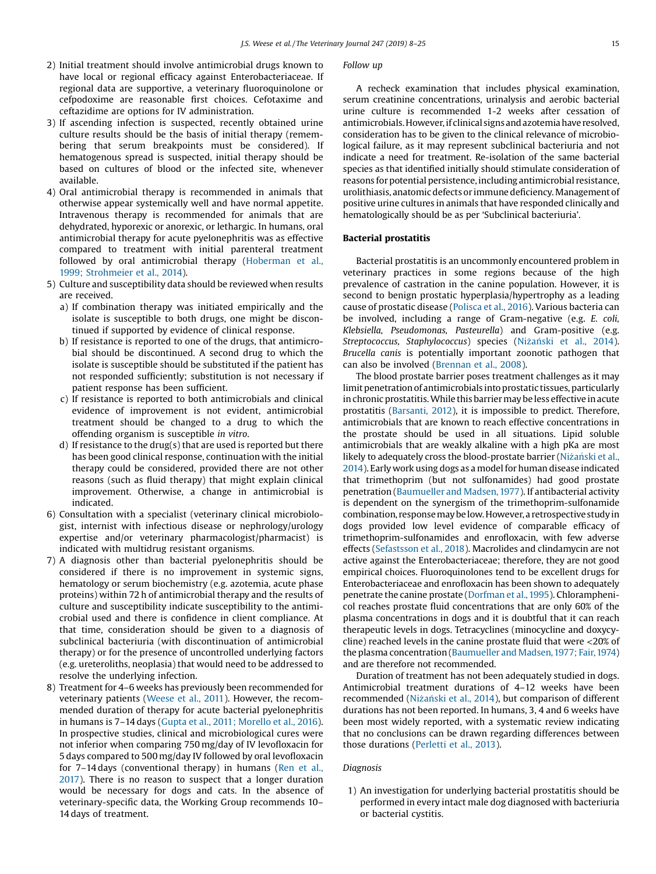- 2) Initial treatment should involve antimicrobial drugs known to have local or regional efficacy against Enterobacteriaceae. If regional data are supportive, a veterinary fluoroquinolone or cefpodoxime are reasonable first choices. Cefotaxime and ceftazidime are options for IV administration.
- 3) If ascending infection is suspected, recently obtained urine culture results should be the basis of initial therapy (remembering that serum breakpoints must be considered). If hematogenous spread is suspected, initial therapy should be based on cultures of blood or the infected site, whenever available.
- 4) Oral antimicrobial therapy is recommended in animals that otherwise appear systemically well and have normal appetite. Intravenous therapy is recommended for animals that are dehydrated, hyporexic or anorexic, or lethargic. In humans, oral antimicrobial therapy for acute pyelonephritis was as effective compared to treatment with initial parenteral treatment followed by oral antimicrobial therapy ([Hoberman](#page-16-0) et al., 1999; [Strohmeier](#page-16-0) et al., 2014).
- 5) Culture and susceptibility data should be reviewed when results are received.
	- a) If combination therapy was initiated empirically and the isolate is susceptible to both drugs, one might be discontinued if supported by evidence of clinical response.
	- b) If resistance is reported to one of the drugs, that antimicrobial should be discontinued. A second drug to which the isolate is susceptible should be substituted if the patient has not responded sufficiently; substitution is not necessary if patient response has been sufficient.
	- c) If resistance is reported to both antimicrobials and clinical evidence of improvement is not evident, antimicrobial treatment should be changed to a drug to which the offending organism is susceptible in vitro.
	- d) If resistance to the drug(s) that are used is reported but there has been good clinical response, continuation with the initial therapy could be considered, provided there are not other reasons (such as fluid therapy) that might explain clinical improvement. Otherwise, a change in antimicrobial is indicated.
- 6) Consultation with a specialist (veterinary clinical microbiologist, internist with infectious disease or nephrology/urology expertise and/or veterinary pharmacologist/pharmacist) is indicated with multidrug resistant organisms.
- 7) A diagnosis other than bacterial pyelonephritis should be considered if there is no improvement in systemic signs, hematology or serum biochemistry (e.g. azotemia, acute phase proteins) within 72 h of antimicrobial therapy and the results of culture and susceptibility indicate susceptibility to the antimicrobial used and there is confidence in client compliance. At that time, consideration should be given to a diagnosis of subclinical bacteriuria (with discontinuation of antimicrobial therapy) or for the presence of uncontrolled underlying factors (e.g. ureteroliths, neoplasia) that would need to be addressed to resolve the underlying infection.
- 8) Treatment for 4–6 weeks has previously been recommended for veterinary patients [\(Weese](#page-17-0) et al., 2011). However, the recommended duration of therapy for acute bacterial pyelonephritis in humans is 7–14 days (Gupta et al., 2011; [Morello](#page-16-0) et al., 2016). In prospective studies, clinical and microbiological cures were not inferior when comparing 750 mg/day of IV levofloxacin for 5 days compared to 500 mg/day IV followed by oral levofloxacin for 7–14 days (conventional therapy) in humans ([Ren](#page-17-0) et al., [2017](#page-17-0)). There is no reason to suspect that a longer duration would be necessary for dogs and cats. In the absence of veterinary-specific data, the Working Group recommends 10– 14 days of treatment.

#### Follow up

A recheck examination that includes physical examination, serum creatinine concentrations, urinalysis and aerobic bacterial urine culture is recommended 1-2 weeks after cessation of antimicrobials. However, if clinical signs and azotemia have resolved, consideration has to be given to the clinical relevance of microbiological failure, as it may represent subclinical bacteriuria and not indicate a need for treatment. Re-isolation of the same bacterial species as that identified initially should stimulate consideration of reasons for potential persistence, including antimicrobial resistance, urolithiasis, anatomicdefectsor immunedeficiency.Managementof positive urine cultures in animals that have responded clinically and hematologically should be as per 'Subclinical bacteriuria'.

#### Bacterial prostatitis

Bacterial prostatitis is an uncommonly encountered problem in veterinary practices in some regions because of the high prevalence of castration in the canine population. However, it is second to benign prostatic hyperplasia/hypertrophy as a leading cause of prostatic disease [\(Polisca](#page-17-0) et al., 2016). Various bacteria can be involved, including a range of Gram-negative (e.g. E. coli, Klebsiella, Pseudomonas, Pasteurella) and Gram-positive (e.g. Streptococcus, Staphylococcus) species (Niżański et al., [2014](#page-16-0)). Brucella canis is potentially important zoonotic pathogen that can also be involved ([Brennan](#page-15-0) et al., 2008).

The blood prostate barrier poses treatment challenges as it may limit penetration of antimicrobials into prostatic tissues, particularly in chronic prostatitis. While this barrier may be less effective in acute prostatitis [\(Barsanti,](#page-15-0) 2012), it is impossible to predict. Therefore, antimicrobials that are known to reach effective concentrations in the prostate should be used in all situations. Lipid soluble antimicrobials that are weakly alkaline with a high pKa are most likely to adequately cross the blood-prostate barrier (Niżański et al., [2014\)](#page-16-0). Early work using dogs as a model for human disease indicated that trimethoprim (but not sulfonamides) had good prostate penetration (Baumueller and [Madsen,1977](#page-15-0)). If antibacterial activity is dependent on the synergism of the trimethoprim-sulfonamide combination, responsemay below.However, a retrospective study in dogs provided low level evidence of comparable efficacy of trimethoprim-sulfonamides and enrofloxacin, with few adverse effects [\(Sefastsson](#page-17-0) et al., 2018). Macrolides and clindamycin are not active against the Enterobacteriaceae; therefore, they are not good empirical choices. Fluoroquinolones tend to be excellent drugs for Enterobacteriaceae and enrofloxacin has been shown to adequately penetrate the canine prostate [\(Dorfman](#page-15-0) et al.,1995). Chloramphenicol reaches prostate fluid concentrations that are only 60% of the plasma concentrations in dogs and it is doubtful that it can reach therapeutic levels in dogs. Tetracyclines (minocycline and doxycycline) reached levels in the canine prostate fluid that were <20% of the plasma concentration (Baumueller and [Madsen,1977;](#page-15-0) Fair,1974) and are therefore not recommended.

Duration of treatment has not been adequately studied in dogs. Antimicrobial treatment durations of 4–12 weeks have been recommended (Niżański et al., [2014](#page-16-0)), but comparison of different durations has not been reported. In humans, 3, 4 and 6 weeks have been most widely reported, with a systematic review indicating that no conclusions can be drawn regarding differences between those durations ([Perletti](#page-17-0) et al., 2013).

## Diagnosis

1) An investigation for underlying bacterial prostatitis should be performed in every intact male dog diagnosed with bacteriuria or bacterial cystitis.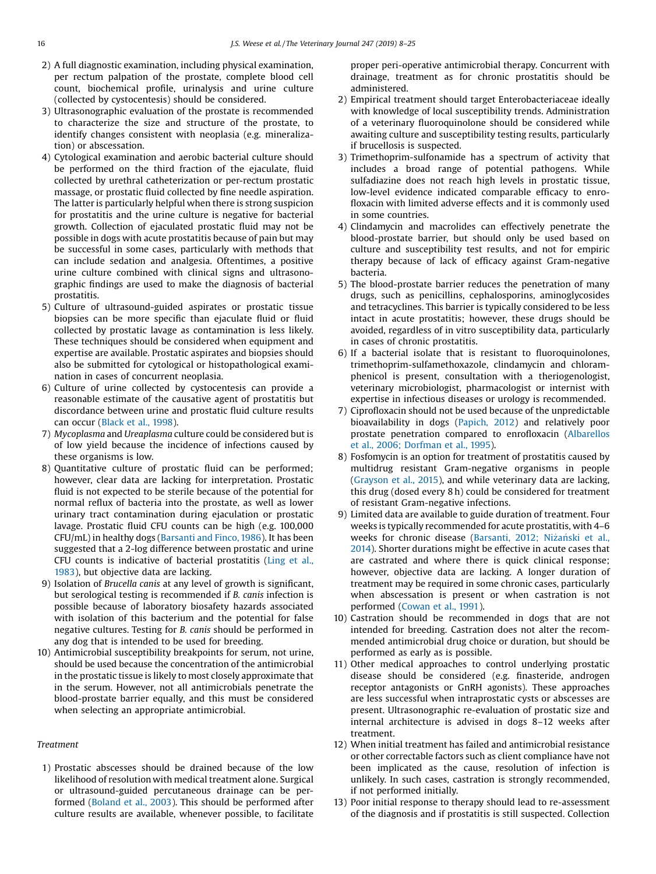- 2) A full diagnostic examination, including physical examination, per rectum palpation of the prostate, complete blood cell count, biochemical profile, urinalysis and urine culture (collected by cystocentesis) should be considered.
- 3) Ultrasonographic evaluation of the prostate is recommended to characterize the size and structure of the prostate, to identify changes consistent with neoplasia (e.g. mineralization) or abscessation.
- 4) Cytological examination and aerobic bacterial culture should be performed on the third fraction of the ejaculate, fluid collected by urethral catheterization or per-rectum prostatic massage, or prostatic fluid collected by fine needle aspiration. The latter is particularly helpful when there is strong suspicion for prostatitis and the urine culture is negative for bacterial growth. Collection of ejaculated prostatic fluid may not be possible in dogs with acute prostatitis because of pain but may be successful in some cases, particularly with methods that can include sedation and analgesia. Oftentimes, a positive urine culture combined with clinical signs and ultrasonographic findings are used to make the diagnosis of bacterial prostatitis.
- 5) Culture of ultrasound-guided aspirates or prostatic tissue biopsies can be more specific than ejaculate fluid or fluid collected by prostatic lavage as contamination is less likely. These techniques should be considered when equipment and expertise are available. Prostatic aspirates and biopsies should also be submitted for cytological or histopathological examination in cases of concurrent neoplasia.
- 6) Culture of urine collected by cystocentesis can provide a reasonable estimate of the causative agent of prostatitis but discordance between urine and prostatic fluid culture results can occur [\(Black](#page-15-0) et al., 1998).
- 7) Mycoplasma and Ureaplasma culture could be considered but is of low yield because the incidence of infections caused by these organisms is low.
- 8) Quantitative culture of prostatic fluid can be performed; however, clear data are lacking for interpretation. Prostatic fluid is not expected to be sterile because of the potential for normal reflux of bacteria into the prostate, as well as lower urinary tract contamination during ejaculation or prostatic lavage. Prostatic fluid CFU counts can be high (e.g. 100,000 CFU/mL) in healthy dogs (Barsanti and [Finco,1986](#page-15-0)). It has been suggested that a 2-log difference between prostatic and urine CFU counts is indicative of bacterial prostatitis ([Ling](#page-16-0) et al., [1983](#page-16-0)), but objective data are lacking.
- 9) Isolation of Brucella canis at any level of growth is significant, but serological testing is recommended if B. canis infection is possible because of laboratory biosafety hazards associated with isolation of this bacterium and the potential for false negative cultures. Testing for B. canis should be performed in any dog that is intended to be used for breeding.
- 10) Antimicrobial susceptibility breakpoints for serum, not urine, should be used because the concentration of the antimicrobial in the prostatic tissue is likely to most closely approximate that in the serum. However, not all antimicrobials penetrate the blood-prostate barrier equally, and this must be considered when selecting an appropriate antimicrobial.

## Treatment

1) Prostatic abscesses should be drained because of the low likelihood of resolution with medical treatment alone. Surgical or ultrasound-guided percutaneous drainage can be performed [\(Boland](#page-15-0) et al., 2003). This should be performed after culture results are available, whenever possible, to facilitate proper peri-operative antimicrobial therapy. Concurrent with drainage, treatment as for chronic prostatitis should be administered.

- 2) Empirical treatment should target Enterobacteriaceae ideally with knowledge of local susceptibility trends. Administration of a veterinary fluoroquinolone should be considered while awaiting culture and susceptibility testing results, particularly if brucellosis is suspected.
- 3) Trimethoprim-sulfonamide has a spectrum of activity that includes a broad range of potential pathogens. While sulfadiazine does not reach high levels in prostatic tissue, low-level evidence indicated comparable efficacy to enrofloxacin with limited adverse effects and it is commonly used in some countries.
- 4) Clindamycin and macrolides can effectively penetrate the blood-prostate barrier, but should only be used based on culture and susceptibility test results, and not for empiric therapy because of lack of efficacy against Gram-negative bacteria.
- 5) The blood-prostate barrier reduces the penetration of many drugs, such as penicillins, cephalosporins, aminoglycosides and tetracyclines. This barrier is typically considered to be less intact in acute prostatitis; however, these drugs should be avoided, regardless of in vitro susceptibility data, particularly in cases of chronic prostatitis.
- 6) If a bacterial isolate that is resistant to fluoroquinolones, trimethoprim-sulfamethoxazole, clindamycin and chloramphenicol is present, consultation with a theriogenologist, veterinary microbiologist, pharmacologist or internist with expertise in infectious diseases or urology is recommended.
- 7) Ciprofloxacin should not be used because of the unpredictable bioavailability in dogs [\(Papich,](#page-17-0) 2012) and relatively poor prostate penetration compared to enrofloxacin ([Albarellos](#page-15-0) et al., 2006; [Dorfman](#page-15-0) et al., 1995).
- 8) Fosfomycin is an option for treatment of prostatitis caused by multidrug resistant Gram-negative organisms in people ([Grayson](#page-16-0) et al., 2015), and while veterinary data are lacking, this drug (dosed every 8 h) could be considered for treatment of resistant Gram-negative infections.
- 9) Limited data are available to guide duration of treatment. Four weeks is typically recommended for acute prostatitis, with 4–6 weeks for chronic disease [\(Barsanti,](#page-15-0) 2012; Niżański et al., [2014\)](#page-15-0). Shorter durations might be effective in acute cases that are castrated and where there is quick clinical response; however, objective data are lacking. A longer duration of treatment may be required in some chronic cases, particularly when abscessation is present or when castration is not performed ([Cowan](#page-15-0) et al., 1991).
- 10) Castration should be recommended in dogs that are not intended for breeding. Castration does not alter the recommended antimicrobial drug choice or duration, but should be performed as early as is possible.
- 11) Other medical approaches to control underlying prostatic disease should be considered (e.g. finasteride, androgen receptor antagonists or GnRH agonists). These approaches are less successful when intraprostatic cysts or abscesses are present. Ultrasonographic re-evaluation of prostatic size and internal architecture is advised in dogs 8–12 weeks after treatment.
- 12) When initial treatment has failed and antimicrobial resistance or other correctable factors such as client compliance have not been implicated as the cause, resolution of infection is unlikely. In such cases, castration is strongly recommended, if not performed initially.
- 13) Poor initial response to therapy should lead to re-assessment of the diagnosis and if prostatitis is still suspected. Collection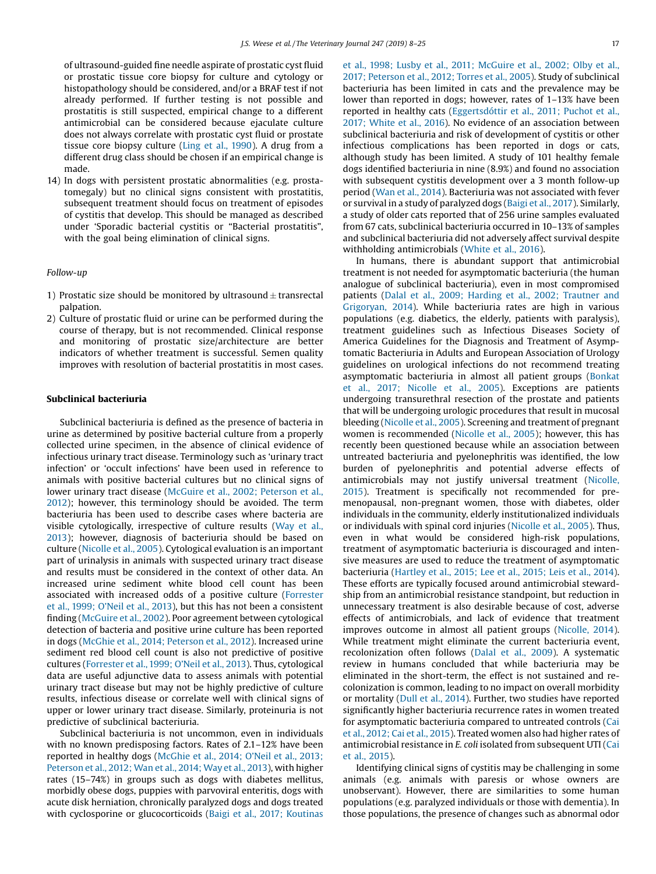of ultrasound-guided fine needle aspirate of prostatic cyst fluid or prostatic tissue core biopsy for culture and cytology or histopathology should be considered, and/or a BRAF test if not already performed. If further testing is not possible and prostatitis is still suspected, empirical change to a different antimicrobial can be considered because ejaculate culture does not always correlate with prostatic cyst fluid or prostate tissue core biopsy culture (Ling et al., [1990\)](#page-16-0). A drug from a different drug class should be chosen if an empirical change is made.

14) In dogs with persistent prostatic abnormalities (e.g. prostatomegaly) but no clinical signs consistent with prostatitis, subsequent treatment should focus on treatment of episodes of cystitis that develop. This should be managed as described under 'Sporadic bacterial cystitis or "Bacterial prostatitis", with the goal being elimination of clinical signs.

## Follow-up

- 1) Prostatic size should be monitored by ultrasound  $\pm$  transrectal palpation.
- 2) Culture of prostatic fluid or urine can be performed during the course of therapy, but is not recommended. Clinical response and monitoring of prostatic size/architecture are better indicators of whether treatment is successful. Semen quality improves with resolution of bacterial prostatitis in most cases.

## Subclinical bacteriuria

Subclinical bacteriuria is defined as the presence of bacteria in urine as determined by positive bacterial culture from a properly collected urine specimen, in the absence of clinical evidence of infectious urinary tract disease. Terminology such as 'urinary tract infection' or 'occult infections' have been used in reference to animals with positive bacterial cultures but no clinical signs of lower urinary tract disease (McGuire et al., 2002; [Peterson](#page-16-0) et al., [2012](#page-16-0)); however, this terminology should be avoided. The term bacteriuria has been used to describe cases where bacteria are visible cytologically, irrespective of culture results [\(Way](#page-17-0) et al., [2013](#page-17-0)); however, diagnosis of bacteriuria should be based on culture [\(Nicolle](#page-16-0) et al., 2005). Cytological evaluation is an important part of urinalysis in animals with suspected urinary tract disease and results must be considered in the context of other data. An increased urine sediment white blood cell count has been associated with increased odds of a positive culture [\(Forrester](#page-15-0) et al., [1999;](#page-15-0) O'Neil et al., 2013), but this has not been a consistent finding [\(McGuire](#page-16-0) et al., 2002). Poor agreement between cytological detection of bacteria and positive urine culture has been reported in dogs (McGhie et al., 2014; [Peterson](#page-16-0) et al., 2012). Increased urine sediment red blood cell count is also not predictive of positive cultures [\(Forrester](#page-15-0) et al.,1999; O'Neil et al., 2013). Thus, cytological data are useful adjunctive data to assess animals with potential urinary tract disease but may not be highly predictive of culture results, infectious disease or correlate well with clinical signs of upper or lower urinary tract disease. Similarly, proteinuria is not predictive of subclinical bacteriuria.

Subclinical bacteriuria is not uncommon, even in individuals with no known predisposing factors. Rates of 2.1–12% have been reported in healthy dogs [\(McGhie](#page-16-0) et al., 2014; O'Neil et al., 2013; [Peterson](#page-16-0) et al., 2012; Wan et al., 2014; Way et al., 2013), with higher rates (15–74%) in groups such as dogs with diabetes mellitus, morbidly obese dogs, puppies with parvoviral enteritis, dogs with acute disk herniation, chronically paralyzed dogs and dogs treated with cyclosporine or glucocorticoids (Baigi et al., 2017; [Koutinas](#page-15-0) et al., 1998; Lusby et al., 2011; [McGuire](#page-15-0) et al., 2002; Olby et al., 2017; [Peterson](#page-15-0) et al., 2012; Torres et al., 2005). Study of subclinical bacteriuria has been limited in cats and the prevalence may be lower than reported in dogs; however, rates of 1–13% have been reported in healthy cats ([Eggertsdóttir](#page-15-0) et al., 2011; Puchot et al., 2017; [White](#page-15-0) et al., 2016). No evidence of an association between subclinical bacteriuria and risk of development of cystitis or other infectious complications has been reported in dogs or cats, although study has been limited. A study of 101 healthy female dogs identified bacteriuria in nine (8.9%) and found no association with subsequent cystitis development over a 3 month follow-up period (Wan et al., [2014](#page-17-0)). Bacteriuria was not associated with fever or survival in a study of paralyzed dogs ([Baigi](#page-15-0) et al., 2017). Similarly, a study of older cats reported that of 256 urine samples evaluated from 67 cats, subclinical bacteriuria occurred in 10–13% of samples and subclinical bacteriuria did not adversely affect survival despite withholding antimicrobials ([White](#page-17-0) et al., 2016).

In humans, there is abundant support that antimicrobial treatment is not needed for asymptomatic bacteriuria (the human analogue of subclinical bacteriuria), even in most compromised patients (Dalal et al., 2009; Harding et al., 2002; [Trautner](#page-15-0) and [Grigoryan,](#page-15-0) 2014). While bacteriuria rates are high in various populations (e.g. diabetics, the elderly, patients with paralysis), treatment guidelines such as Infectious Diseases Society of America Guidelines for the Diagnosis and Treatment of Asymptomatic Bacteriuria in Adults and European Association of Urology guidelines on urological infections do not recommend treating asymptomatic bacteriuria in almost all patient groups ([Bonkat](#page-15-0) et al., 2017; [Nicolle](#page-15-0) et al., 2005). Exceptions are patients undergoing transurethral resection of the prostate and patients that will be undergoing urologic procedures that result in mucosal bleeding [\(Nicolle](#page-16-0) et al., 2005). Screening and treatment of pregnant women is recommended [\(Nicolle](#page-16-0) et al., 2005); however, this has recently been questioned because while an association between untreated bacteriuria and pyelonephritis was identified, the low burden of pyelonephritis and potential adverse effects of antimicrobials may not justify universal treatment [\(Nicolle,](#page-16-0) [2015](#page-16-0)). Treatment is specifically not recommended for premenopausal, non-pregnant women, those with diabetes, older individuals in the community, elderly institutionalized individuals or individuals with spinal cord injuries [\(Nicolle](#page-16-0) et al., 2005). Thus, even in what would be considered high-risk populations, treatment of asymptomatic bacteriuria is discouraged and intensive measures are used to reduce the treatment of asymptomatic bacteriuria ([Hartley](#page-16-0) et al., 2015; Lee et al., 2015; Leis et al., 2014). These efforts are typically focused around antimicrobial stewardship from an antimicrobial resistance standpoint, but reduction in unnecessary treatment is also desirable because of cost, adverse effects of antimicrobials, and lack of evidence that treatment improves outcome in almost all patient groups ([Nicolle,](#page-16-0) 2014). While treatment might eliminate the current bacteriuria event, recolonization often follows (Dalal et al., [2009](#page-15-0)). A systematic review in humans concluded that while bacteriuria may be eliminated in the short-term, the effect is not sustained and recolonization is common, leading to no impact on overall morbidity or mortality (Dull et al., [2014\)](#page-15-0). Further, two studies have reported significantly higher bacteriuria recurrence rates in women treated for asymptomatic bacteriuria compared to untreated controls ([Cai](#page-15-0) et al., [2012;](#page-15-0) Cai et al., 2015). Treated women also had higher rates of antimicrobial resistance in E. coli isolated from subsequent UTI ([Cai](#page-15-0) et al., [2015\)](#page-15-0).

Identifying clinical signs of cystitis may be challenging in some animals (e.g. animals with paresis or whose owners are unobservant). However, there are similarities to some human populations (e.g. paralyzed individuals or those with dementia). In those populations, the presence of changes such as abnormal odor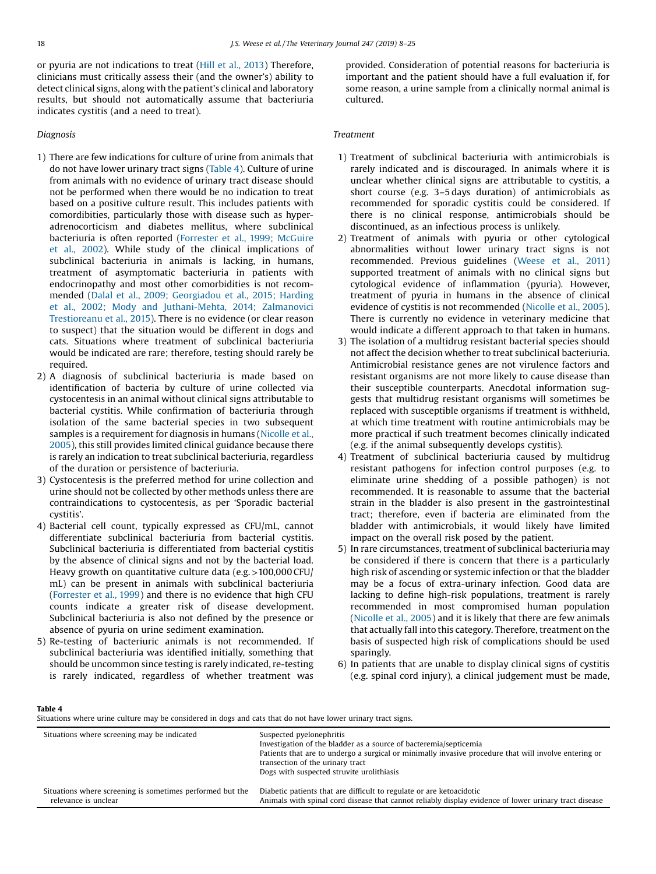or pyuria are not indications to treat (Hill et al., [2013](#page-16-0)) Therefore, clinicians must critically assess their (and the owner's) ability to detect clinical signs, along with the patient's clinical and laboratory results, but should not automatically assume that bacteriuria indicates cystitis (and a need to treat).

#### Diagnosis

- 1) There are few indications for culture of urine from animals that do not have lower urinary tract signs (Table 4). Culture of urine from animals with no evidence of urinary tract disease should not be performed when there would be no indication to treat based on a positive culture result. This includes patients with comordibities, particularly those with disease such as hyperadrenocorticism and diabetes mellitus, where subclinical bacteriuria is often reported ([Forrester](#page-15-0) et al., 1999; McGuire et al., [2002\)](#page-15-0). While study of the clinical implications of subclinical bacteriuria in animals is lacking, in humans, treatment of asymptomatic bacteriuria in patients with endocrinopathy and most other comorbidities is not recommended (Dalal et al., 2009; [Georgiadou](#page-15-0) et al., 2015; Harding et al., 2002; Mody and [Juthani-Mehta,](#page-15-0) 2014; Zalmanovici [Trestioreanu](#page-15-0) et al., 2015). There is no evidence (or clear reason to suspect) that the situation would be different in dogs and cats. Situations where treatment of subclinical bacteriuria would be indicated are rare; therefore, testing should rarely be required.
- 2) A diagnosis of subclinical bacteriuria is made based on identification of bacteria by culture of urine collected via cystocentesis in an animal without clinical signs attributable to bacterial cystitis. While confirmation of bacteriuria through isolation of the same bacterial species in two subsequent samples is a requirement for diagnosis in humans ([Nicolle](#page-16-0) et al., [2005](#page-16-0)), this still provides limited clinical guidance because there is rarely an indication to treat subclinical bacteriuria, regardless of the duration or persistence of bacteriuria.
- 3) Cystocentesis is the preferred method for urine collection and urine should not be collected by other methods unless there are contraindications to cystocentesis, as per 'Sporadic bacterial cystitis'.
- 4) Bacterial cell count, typically expressed as CFU/mL, cannot differentiate subclinical bacteriuria from bacterial cystitis. Subclinical bacteriuria is differentiated from bacterial cystitis by the absence of clinical signs and not by the bacterial load. Heavy growth on quantitative culture data (e.g.>100,000 CFU/ mL) can be present in animals with subclinical bacteriuria [\(Forrester](#page-15-0) et al., 1999) and there is no evidence that high CFU counts indicate a greater risk of disease development. Subclinical bacteriuria is also not defined by the presence or absence of pyuria on urine sediment examination.
- 5) Re-testing of bacteriuric animals is not recommended. If subclinical bacteriuria was identified initially, something that should be uncommon since testing is rarely indicated, re-testing is rarely indicated, regardless of whether treatment was

provided. Consideration of potential reasons for bacteriuria is important and the patient should have a full evaluation if, for some reason, a urine sample from a clinically normal animal is cultured.

## Treatment

- 1) Treatment of subclinical bacteriuria with antimicrobials is rarely indicated and is discouraged. In animals where it is unclear whether clinical signs are attributable to cystitis, a short course (e.g. 3–5 days duration) of antimicrobials as recommended for sporadic cystitis could be considered. If there is no clinical response, antimicrobials should be discontinued, as an infectious process is unlikely.
- 2) Treatment of animals with pyuria or other cytological abnormalities without lower urinary tract signs is not recommended. Previous guidelines ([Weese](#page-17-0) et al., 2011) supported treatment of animals with no clinical signs but cytological evidence of inflammation (pyuria). However, treatment of pyuria in humans in the absence of clinical evidence of cystitis is not recommended ([Nicolle](#page-16-0) et al., 2005). There is currently no evidence in veterinary medicine that would indicate a different approach to that taken in humans.
- 3) The isolation of a multidrug resistant bacterial species should not affect the decision whether to treat subclinical bacteriuria. Antimicrobial resistance genes are not virulence factors and resistant organisms are not more likely to cause disease than their susceptible counterparts. Anecdotal information suggests that multidrug resistant organisms will sometimes be replaced with susceptible organisms if treatment is withheld, at which time treatment with routine antimicrobials may be more practical if such treatment becomes clinically indicated (e.g. if the animal subsequently develops cystitis).
- 4) Treatment of subclinical bacteriuria caused by multidrug resistant pathogens for infection control purposes (e.g. to eliminate urine shedding of a possible pathogen) is not recommended. It is reasonable to assume that the bacterial strain in the bladder is also present in the gastrointestinal tract; therefore, even if bacteria are eliminated from the bladder with antimicrobials, it would likely have limited impact on the overall risk posed by the patient.
- 5) In rare circumstances, treatment of subclinical bacteriuria may be considered if there is concern that there is a particularly high risk of ascending or systemic infection or that the bladder may be a focus of extra-urinary infection. Good data are lacking to define high-risk populations, treatment is rarely recommended in most compromised human population [\(Nicolle](#page-16-0) et al., 2005) and it is likely that there are few animals that actually fall into this category. Therefore, treatment on the basis of suspected high risk of complications should be used sparingly.
- 6) In patients that are unable to display clinical signs of cystitis (e.g. spinal cord injury), a clinical judgement must be made,

#### Table 4

Situations where urine culture may be considered in dogs and cats that do not have lower urinary tract signs.

| Situations where screening may be indicated               | Suspected pyelonephritis<br>Investigation of the bladder as a source of bacteremia/septicemia<br>Patients that are to undergo a surgical or minimally invasive procedure that will involve entering or<br>transection of the urinary tract<br>Dogs with suspected struvite urolithiasis |
|-----------------------------------------------------------|-----------------------------------------------------------------------------------------------------------------------------------------------------------------------------------------------------------------------------------------------------------------------------------------|
| Situations where screening is sometimes performed but the | Diabetic patients that are difficult to regulate or are ketoacidotic                                                                                                                                                                                                                    |
| relevance is unclear                                      | Animals with spinal cord disease that cannot reliably display evidence of lower urinary tract disease                                                                                                                                                                                   |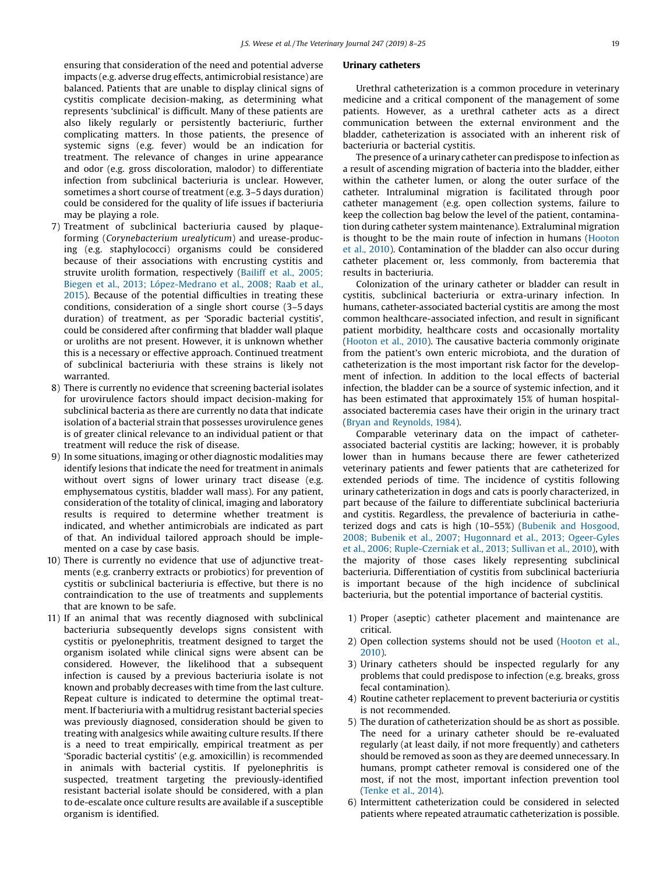ensuring that consideration of the need and potential adverse impacts (e.g. adverse drug effects, antimicrobial resistance) are balanced. Patients that are unable to display clinical signs of cystitis complicate decision-making, as determining what represents 'subclinical' is difficult. Many of these patients are also likely regularly or persistently bacteriuric, further complicating matters. In those patients, the presence of systemic signs (e.g. fever) would be an indication for treatment. The relevance of changes in urine appearance and odor (e.g. gross discoloration, malodor) to differentiate infection from subclinical bacteriuria is unclear. However, sometimes a short course of treatment (e.g. 3–5 days duration) could be considered for the quality of life issues if bacteriuria may be playing a role.

- 7) Treatment of subclinical bacteriuria caused by plaqueforming (Corynebacterium urealyticum) and urease-producing (e.g. staphylococci) organisms could be considered because of their associations with encrusting cystitis and struvite urolith formation, respectively (Bailiff et al., [2005;](#page-15-0) Biegen et al., 2013; [López-Medrano](#page-15-0) et al., 2008; Raab et al., [2015\)](#page-15-0). Because of the potential difficulties in treating these conditions, consideration of a single short course (3–5 days duration) of treatment, as per 'Sporadic bacterial cystitis', could be considered after confirming that bladder wall plaque or uroliths are not present. However, it is unknown whether this is a necessary or effective approach. Continued treatment of subclinical bacteriuria with these strains is likely not warranted.
- 8) There is currently no evidence that screening bacterial isolates for urovirulence factors should impact decision-making for subclinical bacteria as there are currently no data that indicate isolation of a bacterial strain that possesses urovirulence genes is of greater clinical relevance to an individual patient or that treatment will reduce the risk of disease.
- 9) In some situations, imaging or other diagnostic modalities may identify lesions that indicate the need for treatment in animals without overt signs of lower urinary tract disease (e.g. emphysematous cystitis, bladder wall mass). For any patient, consideration of the totality of clinical, imaging and laboratory results is required to determine whether treatment is indicated, and whether antimicrobials are indicated as part of that. An individual tailored approach should be implemented on a case by case basis.
- 10) There is currently no evidence that use of adjunctive treatments (e.g. cranberry extracts or probiotics) for prevention of cystitis or subclinical bacteriuria is effective, but there is no contraindication to the use of treatments and supplements that are known to be safe.
- 11) If an animal that was recently diagnosed with subclinical bacteriuria subsequently develops signs consistent with cystitis or pyelonephritis, treatment designed to target the organism isolated while clinical signs were absent can be considered. However, the likelihood that a subsequent infection is caused by a previous bacteriuria isolate is not known and probably decreases with time from the last culture. Repeat culture is indicated to determine the optimal treatment. If bacteriuria with a multidrug resistant bacterial species was previously diagnosed, consideration should be given to treating with analgesics while awaiting culture results. If there is a need to treat empirically, empirical treatment as per 'Sporadic bacterial cystitis' (e.g. amoxicillin) is recommended in animals with bacterial cystitis. If pyelonephritis is suspected, treatment targeting the previously-identified resistant bacterial isolate should be considered, with a plan to de-escalate once culture results are available if a susceptible organism is identified.

#### Urinary catheters

Urethral catheterization is a common procedure in veterinary medicine and a critical component of the management of some patients. However, as a urethral catheter acts as a direct communication between the external environment and the bladder, catheterization is associated with an inherent risk of bacteriuria or bacterial cystitis.

The presence of a urinary catheter can predispose to infection as a result of ascending migration of bacteria into the bladder, either within the catheter lumen, or along the outer surface of the catheter. Intraluminal migration is facilitated through poor catheter management (e.g. open collection systems, failure to keep the collection bag below the level of the patient, contamination during catheter system maintenance). Extraluminal migration is thought to be the main route of infection in humans [\(Hooton](#page-16-0) et al., [2010\)](#page-16-0). Contamination of the bladder can also occur during catheter placement or, less commonly, from bacteremia that results in bacteriuria.

Colonization of the urinary catheter or bladder can result in cystitis, subclinical bacteriuria or extra-urinary infection. In humans, catheter-associated bacterial cystitis are among the most common healthcare-associated infection, and result in significant patient morbidity, healthcare costs and occasionally mortality ([Hooton](#page-16-0) et al., 2010). The causative bacteria commonly originate from the patient's own enteric microbiota, and the duration of catheterization is the most important risk factor for the development of infection. In addition to the local effects of bacterial infection, the bladder can be a source of systemic infection, and it has been estimated that approximately 15% of human hospitalassociated bacteremia cases have their origin in the urinary tract (Bryan and [Reynolds,](#page-15-0) 1984).

Comparable veterinary data on the impact of catheterassociated bacterial cystitis are lacking; however, it is probably lower than in humans because there are fewer catheterized veterinary patients and fewer patients that are catheterized for extended periods of time. The incidence of cystitis following urinary catheterization in dogs and cats is poorly characterized, in part because of the failure to differentiate subclinical bacteriuria and cystitis. Regardless, the prevalence of bacteriuria in catheterized dogs and cats is high (10–55%) (Bubenik and [Hosgood,](#page-15-0) 2008; Bubenik et al., 2007; Hugonnard et al., 2013; [Ogeer-Gyles](#page-15-0) et al., 2006; [Ruple-Czerniak](#page-15-0) et al., 2013; Sullivan et al., 2010), with the majority of those cases likely representing subclinical bacteriuria. Differentiation of cystitis from subclinical bacteriuria is important because of the high incidence of subclinical bacteriuria, but the potential importance of bacterial cystitis.

- 1) Proper (aseptic) catheter placement and maintenance are critical.
- 2) Open collection systems should not be used [\(Hooton](#page-16-0) et al., [2010\)](#page-16-0).
- 3) Urinary catheters should be inspected regularly for any problems that could predispose to infection (e.g. breaks, gross fecal contamination).
- 4) Routine catheter replacement to prevent bacteriuria or cystitis is not recommended.
- 5) The duration of catheterization should be as short as possible. The need for a urinary catheter should be re-evaluated regularly (at least daily, if not more frequently) and catheters should be removed as soon as they are deemed unnecessary. In humans, prompt catheter removal is considered one of the most, if not the most, important infection prevention tool [\(Tenke](#page-17-0) et al., 2014).
- 6) Intermittent catheterization could be considered in selected patients where repeated atraumatic catheterization is possible.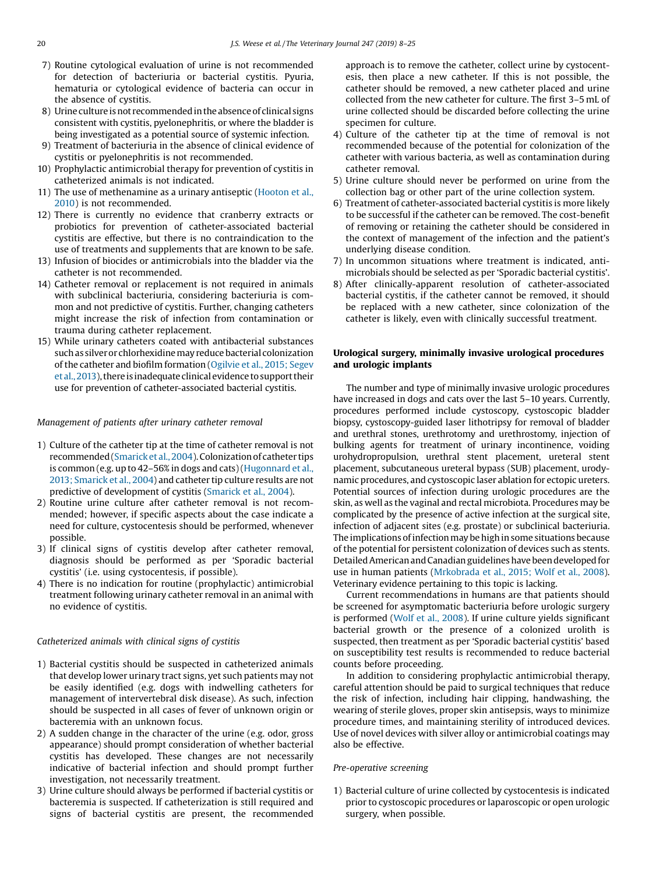- 7) Routine cytological evaluation of urine is not recommended for detection of bacteriuria or bacterial cystitis. Pyuria, hematuria or cytological evidence of bacteria can occur in the absence of cystitis.
- 8) Urine culture is not recommended in the absence of clinical signs consistent with cystitis, pyelonephritis, or where the bladder is being investigated as a potential source of systemic infection.
- 9) Treatment of bacteriuria in the absence of clinical evidence of cystitis or pyelonephritis is not recommended.
- 10) Prophylactic antimicrobial therapy for prevention of cystitis in catheterized animals is not indicated.
- 11) The use of methenamine as a urinary antiseptic [\(Hooton](#page-16-0) et al., [2010](#page-16-0)) is not recommended.
- 12) There is currently no evidence that cranberry extracts or probiotics for prevention of catheter-associated bacterial cystitis are effective, but there is no contraindication to the use of treatments and supplements that are known to be safe.
- 13) Infusion of biocides or antimicrobials into the bladder via the catheter is not recommended.
- 14) Catheter removal or replacement is not required in animals with subclinical bacteriuria, considering bacteriuria is common and not predictive of cystitis. Further, changing catheters might increase the risk of infection from contamination or trauma during catheter replacement.
- 15) While urinary catheters coated with antibacterial substances such as silver or chlorhexidine may reduce bacterial colonization of the catheter and biofilm formation ([Ogilvie](#page-16-0) et al., 2015; Segev et al., 2013), there is inadequate clinical evidence to support their use for prevention of catheter-associated bacterial cystitis.

#### Management of patients after urinary catheter removal

- 1) Culture of the catheter tip at the time of catheter removal is not recommended (Smarick et [al.,2004](#page-17-0)).Colonizationof catheter tips is common (e.g. up to 42–56% in dogs and cats)([Hugonnard](#page-16-0) et al., 2013; [Smarick](#page-16-0) et al., 2004) and catheter tip culture results are not predictive of development of cystitis [\(Smarick](#page-17-0) et al., 2004).
- 2) Routine urine culture after catheter removal is not recommended; however, if specific aspects about the case indicate a need for culture, cystocentesis should be performed, whenever possible.
- 3) If clinical signs of cystitis develop after catheter removal, diagnosis should be performed as per 'Sporadic bacterial cystitis' (i.e. using cystocentesis, if possible).
- 4) There is no indication for routine (prophylactic) antimicrobial treatment following urinary catheter removal in an animal with no evidence of cystitis.

#### Catheterized animals with clinical signs of cystitis

- 1) Bacterial cystitis should be suspected in catheterized animals that develop lower urinary tract signs, yet such patients may not be easily identified (e.g. dogs with indwelling catheters for management of intervertebral disk disease). As such, infection should be suspected in all cases of fever of unknown origin or bacteremia with an unknown focus.
- 2) A sudden change in the character of the urine (e.g. odor, gross appearance) should prompt consideration of whether bacterial cystitis has developed. These changes are not necessarily indicative of bacterial infection and should prompt further investigation, not necessarily treatment.
- 3) Urine culture should always be performed if bacterial cystitis or bacteremia is suspected. If catheterization is still required and signs of bacterial cystitis are present, the recommended

approach is to remove the catheter, collect urine by cystocentesis, then place a new catheter. If this is not possible, the catheter should be removed, a new catheter placed and urine collected from the new catheter for culture. The first 3–5 mL of urine collected should be discarded before collecting the urine specimen for culture.

- 4) Culture of the catheter tip at the time of removal is not recommended because of the potential for colonization of the catheter with various bacteria, as well as contamination during catheter removal.
- 5) Urine culture should never be performed on urine from the collection bag or other part of the urine collection system.
- 6) Treatment of catheter-associated bacterial cystitis is more likely to be successful if the catheter can be removed. The cost-benefit of removing or retaining the catheter should be considered in the context of management of the infection and the patient's underlying disease condition.
- 7) In uncommon situations where treatment is indicated, antimicrobials should be selected as per 'Sporadic bacterial cystitis'.
- 8) After clinically-apparent resolution of catheter-associated bacterial cystitis, if the catheter cannot be removed, it should be replaced with a new catheter, since colonization of the catheter is likely, even with clinically successful treatment.

## Urological surgery, minimally invasive urological procedures and urologic implants

The number and type of minimally invasive urologic procedures have increased in dogs and cats over the last 5–10 years. Currently, procedures performed include cystoscopy, cystoscopic bladder biopsy, cystoscopy-guided laser lithotripsy for removal of bladder and urethral stones, urethrotomy and urethrostomy, injection of bulking agents for treatment of urinary incontinence, voiding urohydropropulsion, urethral stent placement, ureteral stent placement, subcutaneous ureteral bypass (SUB) placement, urodynamic procedures, and cystoscopic laser ablation for ectopic ureters. Potential sources of infection during urologic procedures are the skin, as well as the vaginal and rectal microbiota. Procedures may be complicated by the presence of active infection at the surgical site, infection of adjacent sites (e.g. prostate) or subclinical bacteriuria. The implications of infection may be high in some situations because of the potential for persistent colonization of devices such as stents. Detailed American and Canadian guidelines have been developed for use in human patients [\(Mrkobrada](#page-16-0) et al., 2015; Wolf et al., 2008). Veterinary evidence pertaining to this topic is lacking.

Current recommendations in humans are that patients should be screened for asymptomatic bacteriuria before urologic surgery is performed (Wolf et al., [2008](#page-17-0)). If urine culture yields significant bacterial growth or the presence of a colonized urolith is suspected, then treatment as per 'Sporadic bacterial cystitis' based on susceptibility test results is recommended to reduce bacterial counts before proceeding.

In addition to considering prophylactic antimicrobial therapy, careful attention should be paid to surgical techniques that reduce the risk of infection, including hair clipping, handwashing, the wearing of sterile gloves, proper skin antisepsis, ways to minimize procedure times, and maintaining sterility of introduced devices. Use of novel devices with silver alloy or antimicrobial coatings may also be effective.

#### Pre-operative screening

1) Bacterial culture of urine collected by cystocentesis is indicated prior to cystoscopic procedures or laparoscopic or open urologic surgery, when possible.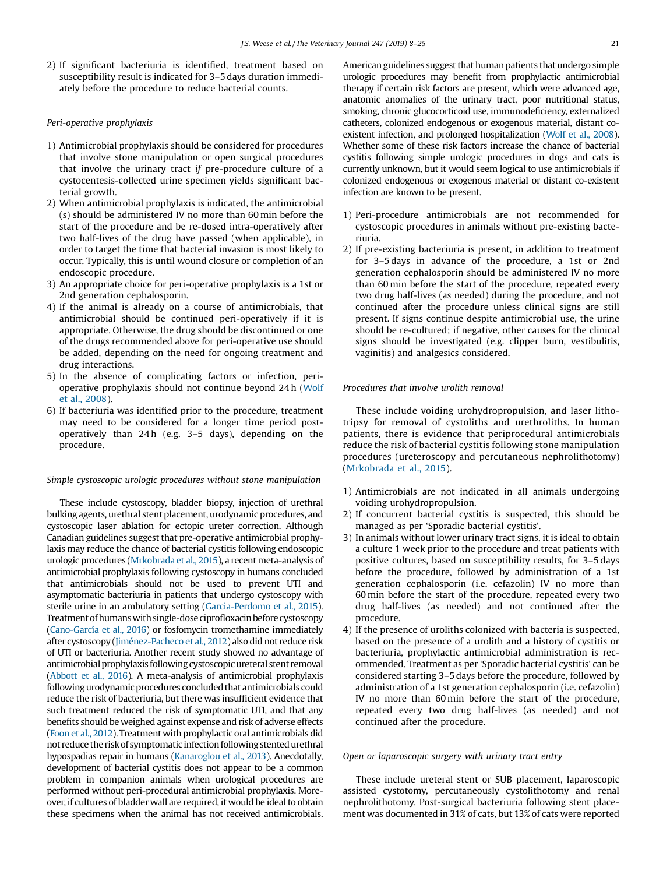2) If significant bacteriuria is identified, treatment based on susceptibility result is indicated for 3–5 days duration immediately before the procedure to reduce bacterial counts.

## Peri-operative prophylaxis

- 1) Antimicrobial prophylaxis should be considered for procedures that involve stone manipulation or open surgical procedures that involve the urinary tract if pre-procedure culture of a cystocentesis-collected urine specimen yields significant bacterial growth.
- 2) When antimicrobial prophylaxis is indicated, the antimicrobial (s) should be administered IV no more than 60 min before the start of the procedure and be re-dosed intra-operatively after two half-lives of the drug have passed (when applicable), in order to target the time that bacterial invasion is most likely to occur. Typically, this is until wound closure or completion of an endoscopic procedure.
- 3) An appropriate choice for peri-operative prophylaxis is a 1st or 2nd generation cephalosporin.
- 4) If the animal is already on a course of antimicrobials, that antimicrobial should be continued peri-operatively if it is appropriate. Otherwise, the drug should be discontinued or one of the drugs recommended above for peri-operative use should be added, depending on the need for ongoing treatment and drug interactions.
- 5) In the absence of complicating factors or infection, perioperative prophylaxis should not continue beyond 24 h [\(Wolf](#page-17-0) et al., [2008](#page-17-0)).
- 6) If bacteriuria was identified prior to the procedure, treatment may need to be considered for a longer time period postoperatively than 24 h (e.g. 3–5 days), depending on the procedure.

#### Simple cystoscopic urologic procedures without stone manipulation

These include cystoscopy, bladder biopsy, injection of urethral bulking agents, urethral stent placement, urodynamic procedures, and cystoscopic laser ablation for ectopic ureter correction. Although Canadian guidelines suggest that pre-operative antimicrobial prophylaxis may reduce the chance of bacterial cystitis following endoscopic urologic procedures ([Mrkobrada](#page-16-0) et al., 2015), a recent meta-analysis of antimicrobial prophylaxis following cystoscopy in humans concluded that antimicrobials should not be used to prevent UTI and asymptomatic bacteriuria in patients that undergo cystoscopy with sterile urine in an ambulatory setting ([Garcia-Perdomo](#page-16-0) et al., 2015). Treatmentofhumanswith single-dose ciprofloxacin before cystoscopy [\(Cano-García](#page-15-0) et al., 2016) or fosfomycin tromethamine immediately after cystoscopy [\(Jiménez-Pacheco](#page-16-0) et al., 2012) also did not reduce risk of UTI or bacteriuria. Another recent study showed no advantage of antimicrobial prophylaxis following cystoscopic ureteral stent removal [\(Abbott](#page-15-0) et al., 2016). A meta-analysis of antimicrobial prophylaxis following urodynamic procedures concluded that antimicrobials could reduce the risk of bacteriuria, but there was insufficient evidence that such treatment reduced the risk of symptomatic UTI, and that any benefits should be weighed against expense and risk of adverse effects [\(Foonet](#page-15-0) al., 2012). Treatment with prophylactic oral antimicrobials did not reduce the risk of symptomatic infection following stented urethral hypospadias repair in humans [\(Kanaroglou](#page-16-0) et al., 2013). Anecdotally, development of bacterial cystitis does not appear to be a common problem in companion animals when urological procedures are performed without peri-procedural antimicrobial prophylaxis. Moreover, if cultures of bladder wall are required, it would be ideal to obtain these specimens when the animal has not received antimicrobials.

American guidelines suggest that human patients that undergo simple urologic procedures may benefit from prophylactic antimicrobial therapy if certain risk factors are present, which were advanced age, anatomic anomalies of the urinary tract, poor nutritional status, smoking, chronic glucocorticoid use, immunodeficiency, externalized catheters, colonized endogenous or exogenous material, distant coexistent infection, and prolonged hospitalization (Wolf et al., [2008\)](#page-17-0). Whether some of these risk factors increase the chance of bacterial cystitis following simple urologic procedures in dogs and cats is currently unknown, but it would seem logical to use antimicrobials if colonized endogenous or exogenous material or distant co-existent infection are known to be present.

- 1) Peri-procedure antimicrobials are not recommended for cystoscopic procedures in animals without pre-existing bacteriuria.
- 2) If pre-existing bacteriuria is present, in addition to treatment for 3–5 days in advance of the procedure, a 1st or 2nd generation cephalosporin should be administered IV no more than 60 min before the start of the procedure, repeated every two drug half-lives (as needed) during the procedure, and not continued after the procedure unless clinical signs are still present. If signs continue despite antimicrobial use, the urine should be re-cultured; if negative, other causes for the clinical signs should be investigated (e.g. clipper burn, vestibulitis, vaginitis) and analgesics considered.

#### Procedures that involve urolith removal

These include voiding urohydropropulsion, and laser lithotripsy for removal of cystoliths and urethroliths. In human patients, there is evidence that periprocedural antimicrobials reduce the risk of bacterial cystitis following stone manipulation procedures (ureteroscopy and percutaneous nephrolithotomy) ([Mrkobrada](#page-16-0) et al., 2015).

- 1) Antimicrobials are not indicated in all animals undergoing voiding urohydropropulsion.
- 2) If concurrent bacterial cystitis is suspected, this should be managed as per 'Sporadic bacterial cystitis'.
- 3) In animals without lower urinary tract signs, it is ideal to obtain a culture 1 week prior to the procedure and treat patients with positive cultures, based on susceptibility results, for 3–5 days before the procedure, followed by administration of a 1st generation cephalosporin (i.e. cefazolin) IV no more than 60 min before the start of the procedure, repeated every two drug half-lives (as needed) and not continued after the procedure.
- 4) If the presence of uroliths colonized with bacteria is suspected, based on the presence of a urolith and a history of cystitis or bacteriuria, prophylactic antimicrobial administration is recommended. Treatment as per 'Sporadic bacterial cystitis' can be considered starting 3–5 days before the procedure, followed by administration of a 1st generation cephalosporin (i.e. cefazolin) IV no more than 60 min before the start of the procedure, repeated every two drug half-lives (as needed) and not continued after the procedure.

#### Open or laparoscopic surgery with urinary tract entry

These include ureteral stent or SUB placement, laparoscopic assisted cystotomy, percutaneously cystolithotomy and renal nephrolithotomy. Post-surgical bacteriuria following stent placement was documented in 31% of cats, but 13% of cats were reported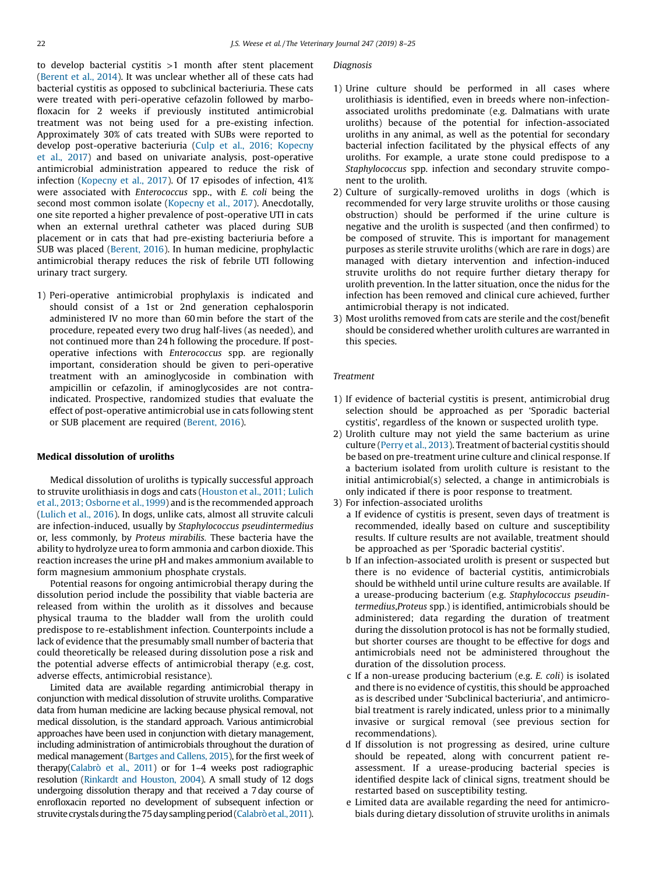to develop bacterial cystitis >1 month after stent placement ([Berent](#page-15-0) et al., 2014). It was unclear whether all of these cats had bacterial cystitis as opposed to subclinical bacteriuria. These cats were treated with peri-operative cefazolin followed by marbofloxacin for 2 weeks if previously instituted antimicrobial treatment was not being used for a pre-existing infection. Approximately 30% of cats treated with SUBs were reported to develop post-operative bacteriuria (Culp et al., 2016; [Kopecny](#page-15-0) et al., [2017\)](#page-15-0) and based on univariate analysis, post-operative antimicrobial administration appeared to reduce the risk of infection ([Kopecny](#page-16-0) et al., 2017). Of 17 episodes of infection, 41% were associated with Enterococcus spp., with E. coli being the second most common isolate ([Kopecny](#page-16-0) et al., 2017). Anecdotally, one site reported a higher prevalence of post-operative UTI in cats when an external urethral catheter was placed during SUB placement or in cats that had pre-existing bacteriuria before a SUB was placed ([Berent,](#page-15-0) 2016). In human medicine, prophylactic antimicrobial therapy reduces the risk of febrile UTI following urinary tract surgery.

1) Peri-operative antimicrobial prophylaxis is indicated and should consist of a 1st or 2nd generation cephalosporin administered IV no more than 60 min before the start of the procedure, repeated every two drug half-lives (as needed), and not continued more than 24 h following the procedure. If postoperative infections with Enterococcus spp. are regionally important, consideration should be given to peri-operative treatment with an aminoglycoside in combination with ampicillin or cefazolin, if aminoglycosides are not contraindicated. Prospective, randomized studies that evaluate the effect of post-operative antimicrobial use in cats following stent or SUB placement are required ([Berent,](#page-15-0) 2016).

# Medical dissolution of uroliths

Medical dissolution of uroliths is typically successful approach to struvite urolithiasis in dogs and cats [\(Houston](#page-16-0) et al., 2011; Lulich et al., 2013; [Osborne](#page-16-0) et al.,1999) and is the recommended approach ([Lulich](#page-16-0) et al., 2016). In dogs, unlike cats, almost all struvite calculi are infection-induced, usually by Staphylococcus pseudintermedius or, less commonly, by Proteus mirabilis. These bacteria have the ability to hydrolyze urea to form ammonia and carbon dioxide. This reaction increases the urine pH and makes ammonium available to form magnesium ammonium phosphate crystals.

Potential reasons for ongoing antimicrobial therapy during the dissolution period include the possibility that viable bacteria are released from within the urolith as it dissolves and because physical trauma to the bladder wall from the urolith could predispose to re-establishment infection. Counterpoints include a lack of evidence that the presumably small number of bacteria that could theoretically be released during dissolution pose a risk and the potential adverse effects of antimicrobial therapy (e.g. cost, adverse effects, antimicrobial resistance).

Limited data are available regarding antimicrobial therapy in conjunction with medical dissolution of struvite uroliths. Comparative data from human medicine are lacking because physical removal, not medical dissolution, is the standard approach. Various antimicrobial approaches have been used in conjunction with dietary management, including administration of antimicrobials throughout the duration of medical management (Bartges and [Callens,](#page-15-0) 2015), for the first week of therapy[\(Calabrò](#page-15-0) et al., 2011) or for 1–4 weeks post radiographic resolution (Rinkardt and [Houston,](#page-17-0) 2004). A small study of 12 dogs undergoing dissolution therapy and that received a 7day course of enrofloxacin reported no development of subsequent infection or struvite crystals during the 75 day sampling period (Calabrò et al., 2011).

#### Diagnosis

- 1) Urine culture should be performed in all cases where urolithiasis is identified, even in breeds where non-infectionassociated uroliths predominate (e.g. Dalmatians with urate uroliths) because of the potential for infection-associated uroliths in any animal, as well as the potential for secondary bacterial infection facilitated by the physical effects of any uroliths. For example, a urate stone could predispose to a Staphylococcus spp. infection and secondary struvite component to the urolith.
- 2) Culture of surgically-removed uroliths in dogs (which is recommended for very large struvite uroliths or those causing obstruction) should be performed if the urine culture is negative and the urolith is suspected (and then confirmed) to be composed of struvite. This is important for management purposes as sterile struvite uroliths (which are rare in dogs) are managed with dietary intervention and infection-induced struvite uroliths do not require further dietary therapy for urolith prevention. In the latter situation, once the nidus for the infection has been removed and clinical cure achieved, further antimicrobial therapy is not indicated.
- 3) Most uroliths removed from cats are sterile and the cost/benefit should be considered whether urolith cultures are warranted in this species.

## Treatment

- 1) If evidence of bacterial cystitis is present, antimicrobial drug selection should be approached as per 'Sporadic bacterial cystitis', regardless of the known or suspected urolith type.
- 2) Urolith culture may not yield the same bacterium as urine culture ([Perry](#page-17-0) et al., 2013). Treatment of bacterial cystitis should be based on pre-treatment urine culture and clinical response. If a bacterium isolated from urolith culture is resistant to the initial antimicrobial(s) selected, a change in antimicrobials is only indicated if there is poor response to treatment.
- 3) For infection-associated uroliths
	- a If evidence of cystitis is present, seven days of treatment is recommended, ideally based on culture and susceptibility results. If culture results are not available, treatment should be approached as per 'Sporadic bacterial cystitis'.
	- b If an infection-associated urolith is present or suspected but there is no evidence of bacterial cystitis, antimicrobials should be withheld until urine culture results are available. If a urease-producing bacterium (e.g. Staphylococcus pseudintermedius,Proteus spp.) is identified, antimicrobials should be administered; data regarding the duration of treatment during the dissolution protocol is has not be formally studied, but shorter courses are thought to be effective for dogs and antimicrobials need not be administered throughout the duration of the dissolution process.
	- c If a non-urease producing bacterium (e.g. E. coli) is isolated and there is no evidence of cystitis, this should be approached as is described under 'Subclinical bacteriuria', and antimicrobial treatment is rarely indicated, unless prior to a minimally invasive or surgical removal (see previous section for recommendations).
	- d If dissolution is not progressing as desired, urine culture should be repeated, along with concurrent patient reassessment. If a urease-producing bacterial species is identified despite lack of clinical signs, treatment should be restarted based on susceptibility testing.
	- e Limited data are available regarding the need for antimicrobials during dietary dissolution of struvite uroliths in animals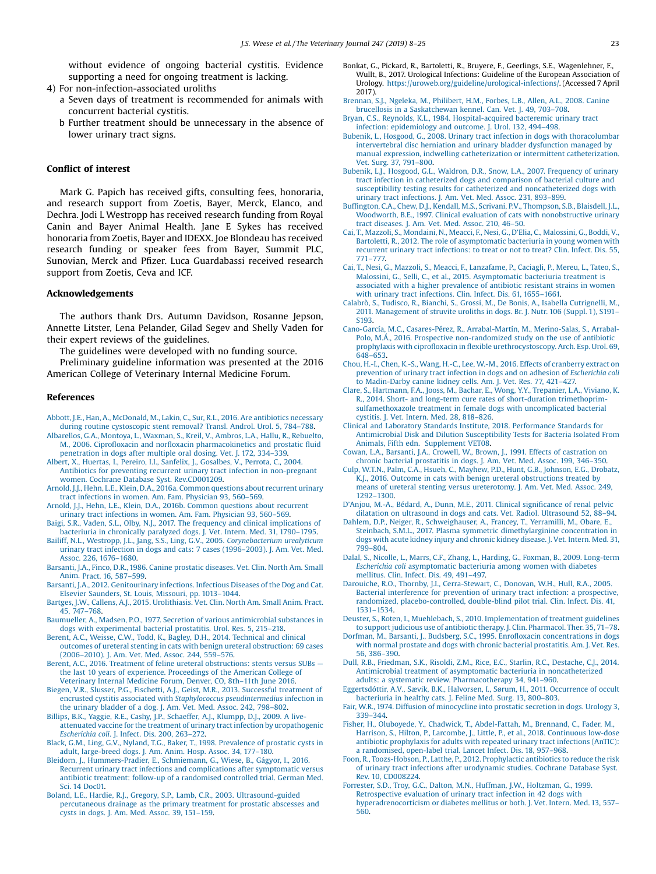<span id="page-15-0"></span>without evidence of ongoing bacterial cystitis. Evidence supporting a need for ongoing treatment is lacking.

- 4) For non-infection-associated uroliths
	- a Seven days of treatment is recommended for animals with concurrent bacterial cystitis.
	- b Further treatment should be unnecessary in the absence of lower urinary tract signs.

# Conflict of interest

Mark G. Papich has received gifts, consulting fees, honoraria, and research support from Zoetis, Bayer, Merck, Elanco, and Dechra. Jodi L Westropp has received research funding from Royal Canin and Bayer Animal Health. Jane E Sykes has received honoraria from Zoetis, Bayer and IDEXX. Joe Blondeau has received research funding or speaker fees from Bayer, Summit PLC, Sunovian, Merck and Pfizer. Luca Guardabassi received research support from Zoetis, Ceva and ICF.

#### Acknowledgements

The authors thank Drs. Autumn Davidson, Rosanne Jepson, Annette Litster, Lena Pelander, Gilad Segev and Shelly Vaden for their expert reviews of the guidelines.

The guidelines were developed with no funding source.

Preliminary guideline information was presented at the 2016 American College of Veterinary Internal Medicine Forum.

#### References

- Abbott, J.E., Han, A., [McDonald,](http://refhub.elsevier.com/S1090-0233(18)30460-X/sbref0005) M., Lakin, C., Sur, R.L., 2016. Are antibiotics necessary during routine [cystoscopic](http://refhub.elsevier.com/S1090-0233(18)30460-X/sbref0005) stent removal? Transl. Androl. Urol. 5, 784–788.
- [Albarellos,](http://refhub.elsevier.com/S1090-0233(18)30460-X/sbref0010) G.A., Montoya, L., Waxman, S., Kreil, V., Ambros, L.A., Hallu, R., Rebuelto, M., 2006. Ciprofloxacin and norfloxacin [pharmacokinetics](http://refhub.elsevier.com/S1090-0233(18)30460-X/sbref0010) and prostatic fluid [penetration](http://refhub.elsevier.com/S1090-0233(18)30460-X/sbref0010) in dogs after multiple oral dosing. Vet. J. 172, 334–339.
- Albert, X., Huertas, I., Pereiro, I.I., Sanfelix, J., [Gosalbes,](http://refhub.elsevier.com/S1090-0233(18)30460-X/sbref0015) V., Perrota, C., 2004. Antibiotics for preventing recurrent urinary tract infection in [non-pregnant](http://refhub.elsevier.com/S1090-0233(18)30460-X/sbref0015) women. Cochrane Database Syst. [Rev.CD001209.](http://refhub.elsevier.com/S1090-0233(18)30460-X/sbref0015)
- Arnold, J.J., Hehn, L.E., Klein, D.A., 2016a. Common [questions](http://refhub.elsevier.com/S1090-0233(18)30460-X/sbref0020) about recurrent urinary tract [infections](http://refhub.elsevier.com/S1090-0233(18)30460-X/sbref0020) in women. Am. Fam. Physician 93, 560–569.
- Arnold, J.J., Hehn, L.E., Klein, D.A., 2016b. Common [questions](http://refhub.elsevier.com/S1090-0233(18)30460-X/sbref0025) about recurrent urinary tract [infections](http://refhub.elsevier.com/S1090-0233(18)30460-X/sbref0025) in women. Am. Fam. Physician 93, 560–569.
- Baigi, S.R., Vaden, S.L., Olby, N.J., 2017. The frequency and clinical [implications](http://refhub.elsevier.com/S1090-0233(18)30460-X/sbref0030) of bacteriuria in [chronically](http://refhub.elsevier.com/S1090-0233(18)30460-X/sbref0030) paralyzed dogs. J. Vet. Intern. Med. 31, 1790–1795.
- Bailiff, N.L., Westropp, J.L., Jang, S.S., Ling, G.V., 2005. [Corynebacterium](http://refhub.elsevier.com/S1090-0233(18)30460-X/sbref0035) urealyticum urinary tract [infection](http://refhub.elsevier.com/S1090-0233(18)30460-X/sbref0035) in dogs and cats: 7 cases (1996–2003). J. Am. Vet. Med. [Assoc.](http://refhub.elsevier.com/S1090-0233(18)30460-X/sbref0035) 226, 1676–1680.
- Barsanti, J.A., Finco, D.R., 1986. Canine [prostatic](http://refhub.elsevier.com/S1090-0233(18)30460-X/sbref0040) diseases. Vet. Clin. North Am. Small [Anim.](http://refhub.elsevier.com/S1090-0233(18)30460-X/sbref0040) Pract. 16, 587–599.
- Barsanti, J.A., 2012. [Genitourinary](http://refhub.elsevier.com/S1090-0233(18)30460-X/sbref0045) infections. Infectious Diseases of the Dog and Cat. Elsevier [Saunders,](http://refhub.elsevier.com/S1090-0233(18)30460-X/sbref0045) St. Louis, Missouri, pp. 1013–1044.
- Bartges, J.W., Callens, A.J., 2015. [Urolithiasis.](http://refhub.elsevier.com/S1090-0233(18)30460-X/sbref0050) Vet. Clin. North Am. Small Anim. Pract. 45, 747–[768.](http://refhub.elsevier.com/S1090-0233(18)30460-X/sbref0050)
- Baumueller, A., Madsen, P.O., 1977. Secretion of various [antimicrobial](http://refhub.elsevier.com/S1090-0233(18)30460-X/sbref0055) substances in dogs with [experimental](http://refhub.elsevier.com/S1090-0233(18)30460-X/sbref0055) bacterial prostatitis. Urol. Res. 5, 215–218.
- Berent, A.C., Weisse, C.W., Todd, K., Bagley, D.H., 2014. [Technical](http://refhub.elsevier.com/S1090-0233(18)30460-X/sbref0060) and clinical outcomes of ureteral stenting in cats with benign ureteral [obstruction:](http://refhub.elsevier.com/S1090-0233(18)30460-X/sbref0060) 69 cases (2006–2010). J. Am. Vet. Med. [Assoc.](http://refhub.elsevier.com/S1090-0233(18)30460-X/sbref0060) 244, 559–576.
- Berent, A.C., 2016. Treatment of feline ureteral [obstructions:](http://refhub.elsevier.com/S1090-0233(18)30460-X/sbref0065) stents versus SUBs the last 10 years of experience. [Proceedings](http://refhub.elsevier.com/S1090-0233(18)30460-X/sbref0065) of the American College of [Veterinary](http://refhub.elsevier.com/S1090-0233(18)30460-X/sbref0065) Internal Medicine Forum, Denver, CO, 8th–11th June 2016.
- Biegen, V.R., Slusser, P.G., Fischetti, A.J., Geist, M.R., 2013. [Successful](http://refhub.elsevier.com/S1090-0233(18)30460-X/sbref0070) treatment of encrusted cystitis associated with Staphylococcus [pseudintermedius](http://refhub.elsevier.com/S1090-0233(18)30460-X/sbref0070) infection in the urinary [bladder](http://refhub.elsevier.com/S1090-0233(18)30460-X/sbref0070) of a dog. J. Am. Vet. Med. Assoc. 242, 798–802.
- Billips, B.K., Yaggie, R.E., Cashy, J.P., [Schaeffer,](http://refhub.elsevier.com/S1090-0233(18)30460-X/sbref0075) A.J., Klumpp, D.J., 2009. A liveattenuated vaccine for the treatment of urinary tractinfection by [uropathogenic](http://refhub.elsevier.com/S1090-0233(18)30460-X/sbref0075) [Escherichia](http://refhub.elsevier.com/S1090-0233(18)30460-X/sbref0075) coli. J. Infect. Dis. 200, 263–272.
- Black, G.M., Ling, G.V., Nyland, T.G., Baker, T., 1998. [Prevalence](http://refhub.elsevier.com/S1090-0233(18)30460-X/sbref0080) of prostatic cysts in adult, [large-breed](http://refhub.elsevier.com/S1090-0233(18)30460-X/sbref0080) dogs. J. Am. Anim. Hosp. Assoc. 34, 177–180.
- Bleidorn, J., [Hummers-Pradier,](http://refhub.elsevier.com/S1090-0233(18)30460-X/sbref0085) E., Schmiemann, G., Wiese, B., Gágyor, I., 2016. Recurrent urinary tract infections and [complications](http://refhub.elsevier.com/S1090-0233(18)30460-X/sbref0085) after symptomatic versus antibiotic treatment: follow-up of a [randomised](http://refhub.elsevier.com/S1090-0233(18)30460-X/sbref0085) controlled trial. German Med. Sci. 14 [Doc01.](http://refhub.elsevier.com/S1090-0233(18)30460-X/sbref0085)
- Boland, L.E., Hardie, R.J., Gregory, S.P., Lamb, C.R., 2003. [Ultrasound-guided](http://refhub.elsevier.com/S1090-0233(18)30460-X/sbref0090) [percutaneous](http://refhub.elsevier.com/S1090-0233(18)30460-X/sbref0090) drainage as the primary treatment for prostatic abscesses and cysts in dogs. J. Am. Med. [Assoc.](http://refhub.elsevier.com/S1090-0233(18)30460-X/sbref0090) 39, 151–159.
- Bonkat, G., Pickard, R., Bartoletti, R., Bruyere, F., Geerlings, S.E., Wagenlehner, F., Wullt, B., 2017. Urological Infections: Guideline of the European Association of Urology. [https://uroweb.org/guideline/urological-infections/.](https://uroweb.org/guideline/urological-infections/) (Accessed 7 April 2017).
- Brennan, S.J., Ngeleka, M., [Philibert,](http://refhub.elsevier.com/S1090-0233(18)30460-X/sbref0100) H.M., Forbes, L.B., Allen, A.L., 2008. Canine brucellosis in a [Saskatchewan](http://refhub.elsevier.com/S1090-0233(18)30460-X/sbref0100) kennel. Can. Vet. J. 49, 703–708.
- Bryan, C.S., Reynolds, K.L., 1984. [Hospital-acquired](http://refhub.elsevier.com/S1090-0233(18)30460-X/sbref0105) bacteremic urinary tract infection: [epidemiology](http://refhub.elsevier.com/S1090-0233(18)30460-X/sbref0105) and outcome. J. Urol. 132, 494–498.
- Bubenik, L., Hosgood, G., 2008. Urinary tract infection in dogs with [thoracolumbar](http://refhub.elsevier.com/S1090-0233(18)30460-X/sbref0110) [intervertebral](http://refhub.elsevier.com/S1090-0233(18)30460-X/sbref0110) disc herniation and urinary bladder dysfunction managed by manual expression, indwelling catheterization or intermittent [catheterization.](http://refhub.elsevier.com/S1090-0233(18)30460-X/sbref0110) Vet. [Surg.](http://refhub.elsevier.com/S1090-0233(18)30460-X/sbref0110) 37, 791–800.
- Bubenik, L.J., Hosgood, G.L., Waldron, D.R., Snow, L.A., 2007. [Frequency](http://refhub.elsevier.com/S1090-0233(18)30460-X/sbref0115) of urinary tract infection in [catheterized](http://refhub.elsevier.com/S1090-0233(18)30460-X/sbref0115) dogs and comparison of bacterial culture and susceptibility testing results for catheterized and [noncatheterized](http://refhub.elsevier.com/S1090-0233(18)30460-X/sbref0115) dogs with urinary tract [infections.](http://refhub.elsevier.com/S1090-0233(18)30460-X/sbref0115) J. Am. Vet. Med. Assoc. 231, 893–899.
- Buffington, C.A., Chew, D.J., Kendall, M.S., Scrivani, P.V., [Thompson,](http://refhub.elsevier.com/S1090-0233(18)30460-X/sbref0120) S.B., Blaisdell, J.L., Woodworth, B.E., 1997. Clinical evaluation of cats with [nonobstructive](http://refhub.elsevier.com/S1090-0233(18)30460-X/sbref0120) urinary tract [diseases.](http://refhub.elsevier.com/S1090-0233(18)30460-X/sbref0120) J. Am. Vet. Med. Assoc. 210, 46–50.
- Cai, T., Mazzoli, S., [Mondaini,](http://refhub.elsevier.com/S1090-0233(18)30460-X/sbref0125) N., Meacci, F., Nesi, G., D'Elia, C., Malossini, G., Boddi, V., Bartoletti, R., 2012. The role of [asymptomatic](http://refhub.elsevier.com/S1090-0233(18)30460-X/sbref0125) bacteriuria in young women with recurrent urinary tract [infections:](http://refhub.elsevier.com/S1090-0233(18)30460-X/sbref0125) to treat or not to treat? Clin. Infect. Dis. 55, 771–[777.](http://refhub.elsevier.com/S1090-0233(18)30460-X/sbref0125)
- Cai, T., Nesi, G., Mazzoli, S., Meacci, F., [Lanzafame,](http://refhub.elsevier.com/S1090-0233(18)30460-X/sbref0130) P., Caciagli, P., Mereu, L., Tateo, S., Malossini, G., Selli, C., et al., 2015. [Asymptomatic](http://refhub.elsevier.com/S1090-0233(18)30460-X/sbref0130) bacteriuria treatment is associated with a higher [prevalence](http://refhub.elsevier.com/S1090-0233(18)30460-X/sbref0130) of antibiotic resistant strains in women with urinary tract [infections.](http://refhub.elsevier.com/S1090-0233(18)30460-X/sbref0130) Clin. Infect. Dis. 61, 1655–1661.
- Calabrò, S., Tudisco, R., Bianchi, S., Grossi, M., De Bonis, A., Isabella [Cutrignelli,](http://refhub.elsevier.com/S1090-0233(18)30460-X/sbref0135) M., 2011. [Management](http://refhub.elsevier.com/S1090-0233(18)30460-X/sbref0135) of struvite uroliths in dogs. Br. J. Nutr. 106 (Suppl. 1), S191– [S193](http://refhub.elsevier.com/S1090-0233(18)30460-X/sbref0135).
- Cano-García, M.C., Casares-Pérez, R., [Arrabal-Martín,](http://refhub.elsevier.com/S1090-0233(18)30460-X/sbref0140) M., Merino-Salas, S., Arrabal-Polo, M.Á., 2016. Prospective [non-randomized](http://refhub.elsevier.com/S1090-0233(18)30460-X/sbref0140) study on the use of antibiotic prophylaxis with ciprofloxacin in flexible [urethrocystoscopy.](http://refhub.elsevier.com/S1090-0233(18)30460-X/sbref0140) Arch. Esp. Urol. 69, [648](http://refhub.elsevier.com/S1090-0233(18)30460-X/sbref0140)–653.
- Chou, H.-I., Chen, K.-S., Wang, H.-C., Lee, W.-M., 2016. Effects of [cranberry](http://refhub.elsevier.com/S1090-0233(18)30460-X/sbref0145) extract on [prevention](http://refhub.elsevier.com/S1090-0233(18)30460-X/sbref0145) of urinary tract infection in dogs and on adhesion of Escherichia coli to [Madin-Darby](http://refhub.elsevier.com/S1090-0233(18)30460-X/sbref0145) canine kidney cells. Am. J. Vet. Res. 77, 421–427.
- Clare, S., [Hartmann,](http://refhub.elsevier.com/S1090-0233(18)30460-X/sbref0150) F.A., Jooss, M., Bachar, E., Wong, Y.Y., Trepanier, L.A., Viviano, K. R., 2014. Short- and long-term cure rates of [short-duration](http://refhub.elsevier.com/S1090-0233(18)30460-X/sbref0150) trimethoprim[sulfamethoxazole](http://refhub.elsevier.com/S1090-0233(18)30460-X/sbref0150) treatment in female dogs with uncomplicated bacterial [cystitis.](http://refhub.elsevier.com/S1090-0233(18)30460-X/sbref0150) J. Vet. Intern. Med. 28, 818–826.
- Clinical and Laboratory Standards Institute, 2018. [Performance](http://refhub.elsevier.com/S1090-0233(18)30460-X/sbref0155) Standards for [Antimicrobial](http://refhub.elsevier.com/S1090-0233(18)30460-X/sbref0155) Disk and Dilution Susceptibility Tests for Bacteria Isolated From Animals, Fifth edn. [Supplement](http://refhub.elsevier.com/S1090-0233(18)30460-X/sbref0155) VET08.
- Cowan, L.A., Barsanti, J.A., Crowell, W., Brown, J., 1991. Effects of [castration](http://refhub.elsevier.com/S1090-0233(18)30460-X/sbref0160) on chronic bacterial [prostatitis](http://refhub.elsevier.com/S1090-0233(18)30460-X/sbref0160) in dogs. J. Am. Vet. Med. Assoc. 199, 346–350.
- Culp, W.T.N., Palm, C.A., Hsueh, C., [Mayhew,](http://refhub.elsevier.com/S1090-0233(18)30460-X/sbref0165) P.D., Hunt, G.B., Johnson, E.G., Drobatz, K.J., 2016. Outcome in cats with benign ureteral [obstructions](http://refhub.elsevier.com/S1090-0233(18)30460-X/sbref0165) treated by means of ureteral stenting versus [ureterotomy.](http://refhub.elsevier.com/S1090-0233(18)30460-X/sbref0165) J. Am. Vet. Med. Assoc. 249, 1292–[1300.](http://refhub.elsevier.com/S1090-0233(18)30460-X/sbref0165)
- D'Anjou, M.-A., [Bédard,](http://refhub.elsevier.com/S1090-0233(18)30460-X/sbref0170) A., Dunn, M.E., 2011. Clinical significance of renal pelvic dilatation on ultrasound in dogs and cats. Vet. Radiol. [Ultrasound](http://refhub.elsevier.com/S1090-0233(18)30460-X/sbref0170) 52, 88–94.
- Dahlem, D.P., Neiger, R., [Schweighauser,](http://refhub.elsevier.com/S1090-0233(18)30460-X/sbref0175) A., Francey, T., Yerramilli, M., Obare, E., Steinbach, S.M.L., 2017. Plasma symmetric [dimethylarginine](http://refhub.elsevier.com/S1090-0233(18)30460-X/sbref0175) concentration in dogs with acute kidney injury and chronic kidney [disease.](http://refhub.elsevier.com/S1090-0233(18)30460-X/sbref0175) J. Vet. Intern. Med. 31, [799](http://refhub.elsevier.com/S1090-0233(18)30460-X/sbref0175)–804.
- Dalal, S., Nicolle, L., Marrs, C.F., Zhang, L., Harding, G., Foxman, B., 2009. [Long-term](http://refhub.elsevier.com/S1090-0233(18)30460-X/sbref0180) Escherichia coli [asymptomatic](http://refhub.elsevier.com/S1090-0233(18)30460-X/sbref0180) bacteriuria among women with diabetes [mellitus.](http://refhub.elsevier.com/S1090-0233(18)30460-X/sbref0180) Clin. Infect. Dis. 49, 491–497.
- Darouiche, R.O., Thornby, J.I., [Cerra-Stewart,](http://refhub.elsevier.com/S1090-0233(18)30460-X/sbref0185) C., Donovan, W.H., Hull, R.A., 2005. Bacterial [interference](http://refhub.elsevier.com/S1090-0233(18)30460-X/sbref0185) for prevention of urinary tract infection: a prospective, randomized, [placebo-controlled,](http://refhub.elsevier.com/S1090-0233(18)30460-X/sbref0185) double-blind pilot trial. Clin. Infect. Dis. 41, 1531–[1534.](http://refhub.elsevier.com/S1090-0233(18)30460-X/sbref0185)
- Deuster, S., Roten, I., Muehlebach, S., 2010. [Implementation](http://refhub.elsevier.com/S1090-0233(18)30460-X/sbref0190) of treatment guidelines to support judicious use of antibiotic therapy. J. Clin. [Pharmacol.](http://refhub.elsevier.com/S1090-0233(18)30460-X/sbref0190) Ther. 35, 71–78.
- Dorfman, M., Barsanti, J., Budsberg, S.C., 1995. Enrofloxacin [concentrations](http://refhub.elsevier.com/S1090-0233(18)30460-X/sbref0195) in dogs with normal prostate and dogs with chronic bacterial [prostatitis.](http://refhub.elsevier.com/S1090-0233(18)30460-X/sbref0195) Am. J. Vet. Res. 56, 386–[390.](http://refhub.elsevier.com/S1090-0233(18)30460-X/sbref0195)
- Dull, R.B., [Friedman,](http://refhub.elsevier.com/S1090-0233(18)30460-X/sbref0200) S.K., Risoldi, Z.M., Rice, E.C., Starlin, R.C., Destache, C.J., 2014. Antimicrobial treatment of asymptomatic bacteriuria in [noncatheterized](http://refhub.elsevier.com/S1090-0233(18)30460-X/sbref0200) adults: a systematic review. [Pharmacotherapy](http://refhub.elsevier.com/S1090-0233(18)30460-X/sbref0200) 34, 941–960.
- [Eggertsdóttir,](http://refhub.elsevier.com/S1090-0233(18)30460-X/sbref0205) A.V., Sævik, B.K., Halvorsen, I., Sørum, H., 2011. Occurrence of occult [bacteriuria](http://refhub.elsevier.com/S1090-0233(18)30460-X/sbref0205) in healthy cats. J. Feline Med. Surg. 13, 800–803.
- Fair, W.R., 1974. Diffusion of [minocycline](http://refhub.elsevier.com/S1090-0233(18)30460-X/sbref0210) into prostatic secretion in dogs. Urology 3, [339](http://refhub.elsevier.com/S1090-0233(18)30460-X/sbref0210)–344.
- Fisher, H., Oluboyede, Y., Chadwick, T., [Abdel-Fattah,](http://refhub.elsevier.com/S1090-0233(18)30460-X/sbref0215) M., Brennand, C., Fader, M., Harrison, S., Hilton, P., Larcombe, J., Little, P., et al., 2018. [Continuous](http://refhub.elsevier.com/S1090-0233(18)30460-X/sbref0215) low-dose antibiotic [prophylaxis](http://refhub.elsevier.com/S1090-0233(18)30460-X/sbref0215) for adults with repeated urinary tract infections (AnTIC): a [randomised,](http://refhub.elsevier.com/S1090-0233(18)30460-X/sbref0215) open-label trial. Lancet Infect. Dis. 18, 957–968.
- Foon, R., [Toozs-Hobson,](http://refhub.elsevier.com/S1090-0233(18)30460-X/sbref0220) P., Latthe, P., 2012. Prophylactic antibiotics to reduce the risk of urinary tract infections after [urodynamic](http://refhub.elsevier.com/S1090-0233(18)30460-X/sbref0220) studies. Cochrane Database Syst. Rev. 10, [CD008224](http://refhub.elsevier.com/S1090-0233(18)30460-X/sbref0220).
- Forrester, S.D., Troy, G.C., Dalton, M.N., Huffman, J.W., [Holtzman,](http://refhub.elsevier.com/S1090-0233(18)30460-X/sbref0225) G., 1999. [Retrospective](http://refhub.elsevier.com/S1090-0233(18)30460-X/sbref0225) evaluation of urinary tract infection in 42 dogs with [hyperadrenocorticism](http://refhub.elsevier.com/S1090-0233(18)30460-X/sbref0225) or diabetes mellitus or both. J. Vet. Intern. Med. 13, 557– [560.](http://refhub.elsevier.com/S1090-0233(18)30460-X/sbref0225)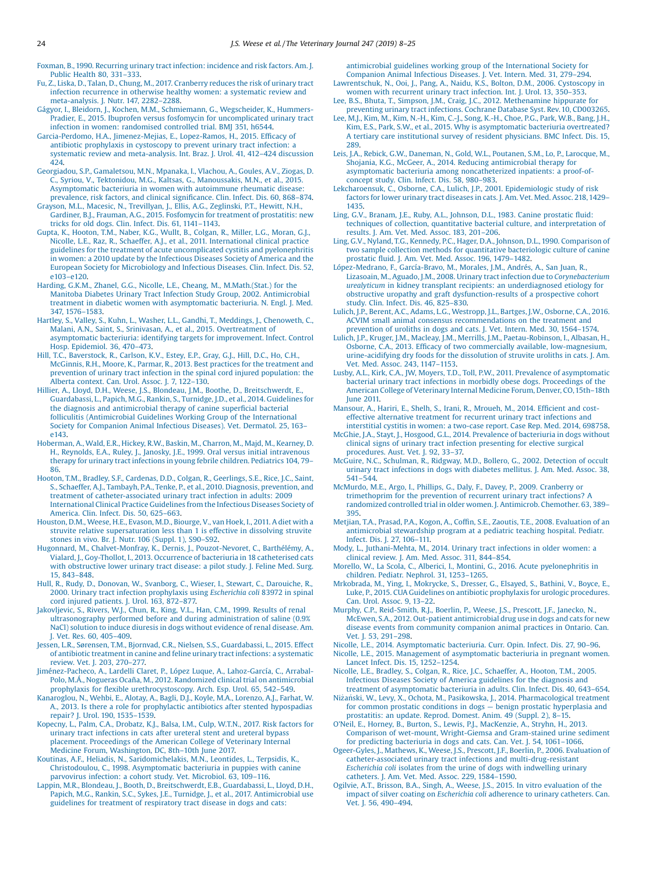<span id="page-16-0"></span>Foxman, B.,1990. [Recurring](http://refhub.elsevier.com/S1090-0233(18)30460-X/sbref0230) urinary tract infection: incidence and risk factors. Am. J. Public [Health](http://refhub.elsevier.com/S1090-0233(18)30460-X/sbref0230) 80, 331–333.

Fu, Z., Liska, D., Talan, D., Chung, M., 2017. [Cranberry](http://refhub.elsevier.com/S1090-0233(18)30460-X/sbref0235) reduces the risk of urinary tract infection [recurrence](http://refhub.elsevier.com/S1090-0233(18)30460-X/sbref0235) in otherwise healthy women: a systematic review and [meta-analysis.](http://refhub.elsevier.com/S1090-0233(18)30460-X/sbref0235) J. Nutr. 147, 2282–2288.

- Gágyor, I., Bleidorn, J., Kochen, M.M., [Schmiemann,](http://refhub.elsevier.com/S1090-0233(18)30460-X/sbref0240) G., Wegscheider, K., Hummers-Pradier, E., 2015. Ibuprofen versus fosfomycin for [uncomplicated](http://refhub.elsevier.com/S1090-0233(18)30460-X/sbref0240) urinary tract infection in women: [randomised](http://refhub.elsevier.com/S1090-0233(18)30460-X/sbref0240) controlled trial. BMJ 351, h6544.
- [Garcia-Perdomo,](http://refhub.elsevier.com/S1090-0233(18)30460-X/sbref0245) H.A., Jimenez-Mejias, E., Lopez-Ramos, H., 2015. Efficacy of antibiotic [prophylaxis](http://refhub.elsevier.com/S1090-0233(18)30460-X/sbref0245) in cystoscopy to prevent urinary tract infection: a systematic review and [meta-analysis.](http://refhub.elsevier.com/S1090-0233(18)30460-X/sbref0245) Int. Braz. J. Urol. 41, 412–424 discussion [424](http://refhub.elsevier.com/S1090-0233(18)30460-X/sbref0245).
- Georgiadou, S.P., [Gamaletsou,](http://refhub.elsevier.com/S1090-0233(18)30460-X/sbref0250) M.N., Mpanaka, I., Vlachou, A., Goules, A.V., Ziogas, D. C., Syriou, V., Tektonidou, M.G., Kaltsas, G., [Manoussakis,](http://refhub.elsevier.com/S1090-0233(18)30460-X/sbref0250) M.N., et al., 2015. [Asymptomatic](http://refhub.elsevier.com/S1090-0233(18)30460-X/sbref0250) bacteriuria in women with autoimmune rheumatic disease: [prevalence,](http://refhub.elsevier.com/S1090-0233(18)30460-X/sbref0250) risk factors, and clinical significance. Clin. Infect. Dis. 60, 868–874.
- Grayson, M.L., Macesic, N., [Trevillyan,](http://refhub.elsevier.com/S1090-0233(18)30460-X/sbref0255) J., Ellis, A.G., Zeglinski, P.T., Hewitt, N.H., Gardiner, B.J., Frauman, A.G., 2015. [Fosfomycin](http://refhub.elsevier.com/S1090-0233(18)30460-X/sbref0255) for treatment of prostatitis: new tricks for old dogs. Clin. [Infect.](http://refhub.elsevier.com/S1090-0233(18)30460-X/sbref0255) Dis. 61, 1141–1143.
- Gupta, K., [Hooton,](http://refhub.elsevier.com/S1090-0233(18)30460-X/sbref0260) T.M., Naber, K.G., Wullt, B., Colgan, R., Miller, L.G., Moran, G.J., Nicolle, L.E., Raz, R., Schaeffer, A.J., et al., 2011. [International](http://refhub.elsevier.com/S1090-0233(18)30460-X/sbref0260) clinical practice guidelines for the treatment of acute [uncomplicated](http://refhub.elsevier.com/S1090-0233(18)30460-X/sbref0260) cystitis and pyelonephritis in women: a 2010 update by the [Infectious](http://refhub.elsevier.com/S1090-0233(18)30460-X/sbref0260) Diseases Society of America and the European Society for [Microbiology](http://refhub.elsevier.com/S1090-0233(18)30460-X/sbref0260) and Infectious Diseases. Clin. Infect. Dis. 52, e103–[e120.](http://refhub.elsevier.com/S1090-0233(18)30460-X/sbref0260)
- Harding, G.K.M., Zhanel, G.G., Nicolle, L.E., Cheang, M., [M.Math.\(Stat.\)](http://refhub.elsevier.com/S1090-0233(18)30460-X/sbref0265) for the Manitoba Diabetes Urinary Tract Infection Study Group, 2002. [Antimicrobial](http://refhub.elsevier.com/S1090-0233(18)30460-X/sbref0265) treatment in diabetic women with [asymptomatic](http://refhub.elsevier.com/S1090-0233(18)30460-X/sbref0265) bacteriuria. N. Engl. J. Med. 347, 1576–[1583.](http://refhub.elsevier.com/S1090-0233(18)30460-X/sbref0265)
- Hartley, S., Valley, S., Kuhn, L., Washer, L.L., Gandhi, T., Meddings, J., [Chenoweth,](http://refhub.elsevier.com/S1090-0233(18)30460-X/sbref0270) C., Malani, A.N., Saint, S., Srinivasan, A., et al., 2015. [Overtreatment](http://refhub.elsevier.com/S1090-0233(18)30460-X/sbref0270) of asymptomatic bacteriuria: identifying targets for [improvement.](http://refhub.elsevier.com/S1090-0233(18)30460-X/sbref0270) Infect. Control Hosp. [Epidemiol.](http://refhub.elsevier.com/S1090-0233(18)30460-X/sbref0270) 36, 470–473.
- Hill, T.C., [Baverstock,](http://refhub.elsevier.com/S1090-0233(18)30460-X/sbref0275) R., Carlson, K.V., Estey, E.P., Gray, G.J., Hill, D.C., Ho, C.H., McGinnis, R.H., Moore, K., Parmar, R., 2013. Best practices for the [treatment](http://refhub.elsevier.com/S1090-0233(18)30460-X/sbref0275) and prevention of urinary tract infection in the spinal cord injured [population:](http://refhub.elsevier.com/S1090-0233(18)30460-X/sbref0275) the Alberta [context.](http://refhub.elsevier.com/S1090-0233(18)30460-X/sbref0275) Can. Urol. Assoc. J. 7, 122–130.
- Hillier, A., Lloyd, D.H., Weese, J.S., Blondeau, J.M., Boothe, D., [Breitschwerdt,](http://refhub.elsevier.com/S1090-0233(18)30460-X/sbref0280) E., [Guardabassi,](http://refhub.elsevier.com/S1090-0233(18)30460-X/sbref0280) L., Papich, M.G., Rankin, S., Turnidge, J.D., et al., 2014. Guidelines for the diagnosis and [antimicrobial](http://refhub.elsevier.com/S1090-0233(18)30460-X/sbref0280) therapy of canine superficial bacterial folliculitis [\(Antimicrobial](http://refhub.elsevier.com/S1090-0233(18)30460-X/sbref0280) Guidelines Working Group of the International Society for [Companion](http://refhub.elsevier.com/S1090-0233(18)30460-X/sbref0280) Animal Infectious Diseases). Vet. Dermatol. 25, 163– [e143](http://refhub.elsevier.com/S1090-0233(18)30460-X/sbref0280).
- [Hoberman,](http://refhub.elsevier.com/S1090-0233(18)30460-X/sbref0285) A., Wald, E.R., Hickey, R.W., Baskin, M., Charron, M., Majd, M., Kearney, D. H., Reynolds, E.A., Ruley, J., Janosky, J.E., 1999. Oral versus initial [intravenous](http://refhub.elsevier.com/S1090-0233(18)30460-X/sbref0285) therapy for urinary tract [infections](http://refhub.elsevier.com/S1090-0233(18)30460-X/sbref0285) in young febrile children. Pediatrics 104, 79– [86](http://refhub.elsevier.com/S1090-0233(18)30460-X/sbref0285).
- Hooton, T.M., Bradley, S.F., Cardenas, D.D., Colgan, R., [Geerlings,](http://refhub.elsevier.com/S1090-0233(18)30460-X/sbref0290) S.E., Rice, J.C., Saint, S., Schaeffer, A.J., Tambayh, P.A., Tenke, P., et al., 2010. Diagnosis, [prevention,](http://refhub.elsevier.com/S1090-0233(18)30460-X/sbref0290) and treatment of [catheter-associated](http://refhub.elsevier.com/S1090-0233(18)30460-X/sbref0290) urinary tract infection in adults: 2009 [International](http://refhub.elsevier.com/S1090-0233(18)30460-X/sbref0290) Clinical Practice Guidelines from the Infectious Diseases Society of [America.](http://refhub.elsevier.com/S1090-0233(18)30460-X/sbref0290) Clin. Infect. Dis. 50, 625–663.
- [Houston,](http://refhub.elsevier.com/S1090-0233(18)30460-X/sbref0295) D.M., Weese, H.E., Evason, M.D., Biourge, V., van Hoek, I., 2011. A diet with a struvite relative [supersaturation](http://refhub.elsevier.com/S1090-0233(18)30460-X/sbref0295) less than 1 is effective in dissolving struvite stones in vivo. Br. J. Nutr. 106 [\(Suppl.](http://refhub.elsevier.com/S1090-0233(18)30460-X/sbref0295) 1), S90–S92.
- Hugonnard, M., [Chalvet-Monfray,](http://refhub.elsevier.com/S1090-0233(18)30460-X/sbref0300) K., Dernis, J., Pouzot-Nevoret, C., Barthélémy, A., Vialard, J., Goy-Thollot, I., 2013. Occurrence of bacteriuria in 18 [catheterised](http://refhub.elsevier.com/S1090-0233(18)30460-X/sbref0300) cats with [obstructive](http://refhub.elsevier.com/S1090-0233(18)30460-X/sbref0300) lower urinary tract disease: a pilot study. J. Feline Med. Surg. 15, 843–[848.](http://refhub.elsevier.com/S1090-0233(18)30460-X/sbref0300)
- Hull, R., Rudy, D., Donovan, W., Svanborg, C., Wieser, I., Stewart, C., [Darouiche,](http://refhub.elsevier.com/S1090-0233(18)30460-X/sbref0305) R., 2000. Urinary tract infection [prophylaxis](http://refhub.elsevier.com/S1090-0233(18)30460-X/sbref0305) using Escherichia coli 83972 in spinal cord injured [patients.](http://refhub.elsevier.com/S1090-0233(18)30460-X/sbref0305) J. Urol. 163, 872–877.
- [Jakovljevic,](http://refhub.elsevier.com/S1090-0233(18)30460-X/sbref0310) S., Rivers, W.J., Chun, R., King, V.L., Han, C.M., 1999. Results of renal [ultrasonography](http://refhub.elsevier.com/S1090-0233(18)30460-X/sbref0310) performed before and during administration of saline (0.9% NaCl) solution to induce diuresis in dogs without [evidence](http://refhub.elsevier.com/S1090-0233(18)30460-X/sbref0310) of renal disease. Am. J. [Vet.](http://refhub.elsevier.com/S1090-0233(18)30460-X/sbref0310) Res. 60, 405–409.
- Jessen, L.R., Sørensen, T.M., Bjornvad, C.R., Nielsen, S.S., [Guardabassi,](http://refhub.elsevier.com/S1090-0233(18)30460-X/sbref0315) L., 2015. Effect of antibiotic treatmentin canine and feline urinary [tractinfections:](http://refhub.elsevier.com/S1090-0233(18)30460-X/sbref0315) a systematic [review.](http://refhub.elsevier.com/S1090-0233(18)30460-X/sbref0315) Vet. J. 203, 270–277.
- [Jiménez-Pacheco,](http://refhub.elsevier.com/S1090-0233(18)30460-X/sbref0320) A., Lardelli Claret, P., López Luque, A., Lahoz-García, C., Arrabal-Polo, M.Á., Nogueras Ocaña, M., 2012. Randomized clinical trial on [antimicrobial](http://refhub.elsevier.com/S1090-0233(18)30460-X/sbref0320) prophylaxis for flexible [urethrocystoscopy.](http://refhub.elsevier.com/S1090-0233(18)30460-X/sbref0320) Arch. Esp. Urol. 65, 542–549.
- [Kanaroglou,](http://refhub.elsevier.com/S1090-0233(18)30460-X/sbref0325) N., Wehbi, E., Alotay, A., Bagli, D.J., Koyle, M.A., Lorenzo, A.J., Farhat, W. A., 2013. Is there a role for [prophylactic](http://refhub.elsevier.com/S1090-0233(18)30460-X/sbref0325) antibiotics after stented hypospadias [repair?](http://refhub.elsevier.com/S1090-0233(18)30460-X/sbref0325) J. Urol. 190, 1535–1539.
- [Kopecny,](http://refhub.elsevier.com/S1090-0233(18)30460-X/sbref0330) L., Palm, C.A., Drobatz, K.J., Balsa, I.M., Culp, W.T.N., 2017. Risk factors for urinary tract [infections](http://refhub.elsevier.com/S1090-0233(18)30460-X/sbref0330) in cats after ureteral stent and ureteral bypass placement. [Proceedings](http://refhub.elsevier.com/S1090-0233(18)30460-X/sbref0330) of the American College of Veterinary Internal Medicine Forum, [Washington,](http://refhub.elsevier.com/S1090-0233(18)30460-X/sbref0330) DC, 8th–10th June 2017.
- Koutinas, A.F., Heliadis, N., [Saridomichelakis,](http://refhub.elsevier.com/S1090-0233(18)30460-X/sbref0335) M.N., Leontides, L., Terpsidis, K., [Christodoulou,](http://refhub.elsevier.com/S1090-0233(18)30460-X/sbref0335) C., 1998. Asymptomatic bacteriuria in puppies with canine [parvovirus](http://refhub.elsevier.com/S1090-0233(18)30460-X/sbref0335) infection: a cohort study. Vet. Microbiol. 63, 109–116.
- Lappin, M.R., Blondeau, J., Booth, D., [Breitschwerdt,](http://refhub.elsevier.com/S1090-0233(18)30460-X/sbref0340) E.B., Guardabassi, L., Lloyd, D.H., Papich, M.G., Rankin, S.C., Sykes, J.E., Turnidge, J., et al., 2017. [Antimicrobial](http://refhub.elsevier.com/S1090-0233(18)30460-X/sbref0340) use guidelines for treatment of [respiratory](http://refhub.elsevier.com/S1090-0233(18)30460-X/sbref0340) tract disease in dogs and cats:

[antimicrobial](http://refhub.elsevier.com/S1090-0233(18)30460-X/sbref0340) guidelines working group of the International Society for [Companion](http://refhub.elsevier.com/S1090-0233(18)30460-X/sbref0340) Animal Infectious Diseases. J. Vet. Intern. Med. 31, 279–294.

- [Lawrentschuk,](http://refhub.elsevier.com/S1090-0233(18)30460-X/sbref0345) N., Ooi, J., Pang, A., Naidu, K.S., Bolton, D.M., 2006. Cystoscopy in women with recurrent urinary tract [infection.](http://refhub.elsevier.com/S1090-0233(18)30460-X/sbref0345) Int. J. Urol. 13, 350–353. Lee, B.S., Bhuta, T., Simpson, J.M., Craig, J.C., 2012. [Methenamine](http://refhub.elsevier.com/S1090-0233(18)30460-X/sbref0350) hippurate for
- [preventing](http://refhub.elsevier.com/S1090-0233(18)30460-X/sbref0350) urinary tract infections. Cochrane Database Syst. Rev.10, CD003265.
- Lee, M.J., Kim, M., Kim, [N.-H.,](http://refhub.elsevier.com/S1090-0233(18)30460-X/sbref0355) Kim, C.-J., Song, K.-H., Choe, P.G., Park, W.B., Bang, J.H., Kim, E.S., Park, S.W., et al., 2015. Why is [asymptomatic](http://refhub.elsevier.com/S1090-0233(18)30460-X/sbref0355) bacteriuria overtreated? A tertiary care [institutional](http://refhub.elsevier.com/S1090-0233(18)30460-X/sbref0355) survey of resident physicians. BMC Infect. Dis. 15, [289](http://refhub.elsevier.com/S1090-0233(18)30460-X/sbref0355).
- Leis, J.A., Rebick, G.W., [Daneman,](http://refhub.elsevier.com/S1090-0233(18)30460-X/sbref0360) N., Gold, W.L., Poutanen, S.M., Lo, P., Larocque, M., Shojania, K.G., McGeer, A., 2014. Reducing [antimicrobial](http://refhub.elsevier.com/S1090-0233(18)30460-X/sbref0360) therapy for asymptomatic bacteriuria among [noncatheterized](http://refhub.elsevier.com/S1090-0233(18)30460-X/sbref0360) inpatients: a proof-of[concept](http://refhub.elsevier.com/S1090-0233(18)30460-X/sbref0360) study. Clin. Infect. Dis. 58, 980–983.
- [Lekcharoensuk,](http://refhub.elsevier.com/S1090-0233(18)30460-X/sbref0365) C., Osborne, C.A., Lulich, J.P., 2001. Epidemiologic study of risk factors for lower urinary tract diseases in cats. J. Am. Vet. Med. Assoc. [218,1429](http://refhub.elsevier.com/S1090-0233(18)30460-X/sbref0365)– [1435](http://refhub.elsevier.com/S1090-0233(18)30460-X/sbref0365).
- Ling, G.V., Branam, J.E., Ruby, A.L., Johnson, D.L., 1983. Canine [prostatic](http://refhub.elsevier.com/S1090-0233(18)30460-X/sbref0370) fluid: techniques of collection, quantitative bacterial culture, and [interpretation](http://refhub.elsevier.com/S1090-0233(18)30460-X/sbref0370) of [results.](http://refhub.elsevier.com/S1090-0233(18)30460-X/sbref0370) J. Am. Vet. Med. Assoc. 183, 201–206.
- Ling, G.V., Nyland, T.G., Kennedy, P.C., Hager, D.A., Johnson, D.L.,1990. [Comparison](http://refhub.elsevier.com/S1090-0233(18)30460-X/sbref0375) of two sample collection methods for quantitative [bacteriologic](http://refhub.elsevier.com/S1090-0233(18)30460-X/sbref0375) culture of canine [prostatic](http://refhub.elsevier.com/S1090-0233(18)30460-X/sbref0375) fluid. J. Am. Vet. Med. Assoc. 196, 1479–1482.
- [López-Medrano,](http://refhub.elsevier.com/S1090-0233(18)30460-X/sbref0380) F., García-Bravo, M., Morales, J.M., Andrés, A., San Juan, R., Lizasoain, M., Aguado, J.M., 2008. Urinary tract infection due to [Corynebacterium](http://refhub.elsevier.com/S1090-0233(18)30460-X/sbref0380) urealyticum in kidney transplant recipients: an [underdiagnosed](http://refhub.elsevier.com/S1090-0233(18)30460-X/sbref0380) etiology for obstructive uropathy and graft [dysfunction-results](http://refhub.elsevier.com/S1090-0233(18)30460-X/sbref0380) of a prospective cohort study. Clin. [Infect.](http://refhub.elsevier.com/S1090-0233(18)30460-X/sbref0380) Dis. 46, 825–830.
- Lulich, J.P., Berent, A.C., Adams, L.G., [Westropp,](http://refhub.elsevier.com/S1090-0233(18)30460-X/sbref0385) J.L., Bartges, J.W., Osborne, C.A., 2016. ACVIM small animal consensus [recommendations](http://refhub.elsevier.com/S1090-0233(18)30460-X/sbref0385) on the treatment and [prevention](http://refhub.elsevier.com/S1090-0233(18)30460-X/sbref0385) of uroliths in dogs and cats. J. Vet. Intern. Med. 30, 1564–1574.
- Lulich, J.P., Kruger, J.M., Macleay, J.M., Merrills, J.M., [Paetau-Robinson,](http://refhub.elsevier.com/S1090-0233(18)30460-X/sbref0390) I., Albasan, H., Osborne, C.A., 2013. Efficacy of two commercially available, [low-magnesium,](http://refhub.elsevier.com/S1090-0233(18)30460-X/sbref0390) [urine-acidifying](http://refhub.elsevier.com/S1090-0233(18)30460-X/sbref0390) dry foods for the dissolution of struvite uroliths in cats. J. Am. Vet. Med. [Assoc.](http://refhub.elsevier.com/S1090-0233(18)30460-X/sbref0390) 243, 1147–1153.
- Lusby, A.L., Kirk, C.A., JW, Moyers, T.D., Toll, P.W., 2011. Prevalence of [asymptomatic](http://refhub.elsevier.com/S1090-0233(18)30460-X/sbref0395) bacterial urinary tract infections in morbidly obese dogs. [Proceedings](http://refhub.elsevier.com/S1090-0233(18)30460-X/sbref0395) of the American College of [Veterinary](http://refhub.elsevier.com/S1090-0233(18)30460-X/sbref0395) Internal Medicine Forum, Denver, CO,15th–18th June [2011.](http://refhub.elsevier.com/S1090-0233(18)30460-X/sbref0395)
- [Mansour,](http://refhub.elsevier.com/S1090-0233(18)30460-X/sbref0400) A., Hariri, E., Shelh, S., Irani, R., Mroueh, M., 2014. Efficient and costeffective [alternative](http://refhub.elsevier.com/S1090-0233(18)30460-X/sbref0400) treatment for recurrent urinary tract infections and [interstitial](http://refhub.elsevier.com/S1090-0233(18)30460-X/sbref0400) cystitis in women: a two-case report. Case Rep. Med. 2014, 698758.
- McGhie, J.A., Stayt, J., Hosgood, G.L., 2014. Prevalence of [bacteriuria](http://refhub.elsevier.com/S1090-0233(18)30460-X/sbref0405) in dogs without clinical signs of urinary tract infection [presenting](http://refhub.elsevier.com/S1090-0233(18)30460-X/sbref0405) for elective surgical [procedures.](http://refhub.elsevier.com/S1090-0233(18)30460-X/sbref0405) Aust. Vet. J. 92, 33–37.
- McGuire, N.C., [Schulman,](http://refhub.elsevier.com/S1090-0233(18)30460-X/sbref0410) R., Ridgway, M.D., Bollero, G., 2002. Detection of occult urinary tract [infections](http://refhub.elsevier.com/S1090-0233(18)30460-X/sbref0410) in dogs with diabetes mellitus. J. Am. Med. Assoc. 38, 541–[544](http://refhub.elsevier.com/S1090-0233(18)30460-X/sbref0410).
- [McMurdo,](http://refhub.elsevier.com/S1090-0233(18)30460-X/sbref0415) M.E., Argo, I., Phillips, G., Daly, F., Davey, P., 2009. Cranberry or [trimethoprim](http://refhub.elsevier.com/S1090-0233(18)30460-X/sbref0415) for the prevention of recurrent urinary tract infections? A [randomized](http://refhub.elsevier.com/S1090-0233(18)30460-X/sbref0415) controlled trial in older women. J. Antimicrob. Chemother. 63, 389– [395](http://refhub.elsevier.com/S1090-0233(18)30460-X/sbref0415).
- Metjian, T.A., Prasad, P.A., Kogon, A., Coffin, S.E., Zaoutis, T.E., 2008. [Evaluation](http://refhub.elsevier.com/S1090-0233(18)30460-X/sbref0420) of an [antimicrobial](http://refhub.elsevier.com/S1090-0233(18)30460-X/sbref0420) stewardship program at a pediatric teaching hospital. Pediatr. [Infect.](http://refhub.elsevier.com/S1090-0233(18)30460-X/sbref0420) Dis. J. 27, 106–111.
- Mody, L., [Juthani-Mehta,](http://refhub.elsevier.com/S1090-0233(18)30460-X/sbref0425) M., 2014. Urinary tract infections in older women: a clinical [review.](http://refhub.elsevier.com/S1090-0233(18)30460-X/sbref0425) J. Am. Med. Assoc. 311, 844–854.
- Morello, W., La Scola, C., Alberici, I., Montini, G., 2016. Acute [pyelonephritis](http://refhub.elsevier.com/S1090-0233(18)30460-X/sbref0430) in [children.](http://refhub.elsevier.com/S1090-0233(18)30460-X/sbref0430) Pediatr. Nephrol. 31, 1253–1265.
- [Mrkobrada,](http://refhub.elsevier.com/S1090-0233(18)30460-X/sbref0435) M., Ying, I., Mokrycke, S., Dresser, G., Elsayed, S., Bathini, V., Boyce, E., Luke, P., 2015. CUA Guidelines on antibiotic [prophylaxis](http://refhub.elsevier.com/S1090-0233(18)30460-X/sbref0435) for urologic procedures. Can. Urol. [Assoc.](http://refhub.elsevier.com/S1090-0233(18)30460-X/sbref0435) 9, 13–22.
- Murphy, C.P., [Reid-Smith,](http://refhub.elsevier.com/S1090-0233(18)30460-X/sbref0440) R.J., Boerlin, P., Weese, J.S., Prescott, J.F., Janecko, N., McEwen, S.A., 2012. Out-patient [antimicrobial](http://refhub.elsevier.com/S1090-0233(18)30460-X/sbref0440) drug use in dogs and cats for new disease events from [community](http://refhub.elsevier.com/S1090-0233(18)30460-X/sbref0440) companion animal practices in Ontario. Can. Vet. J. 53, 291–[298.](http://refhub.elsevier.com/S1090-0233(18)30460-X/sbref0440)
- Nicolle, L.E., 2014. [Asymptomatic](http://refhub.elsevier.com/S1090-0233(18)30460-X/sbref0445) bacteriuria. Curr. Opin. Infect. Dis. 27, 90–96.
- Nicolle, L.E., 2015. Management of [asymptomatic](http://refhub.elsevier.com/S1090-0233(18)30460-X/sbref0450) bacteriuria in pregnant women. [Lancet](http://refhub.elsevier.com/S1090-0233(18)30460-X/sbref0450) Infect. Dis. 15, 1252–1254.
- Nicolle, L.E., Bradley, S., Colgan, R., Rice, J.C., [Schaeffer,](http://refhub.elsevier.com/S1090-0233(18)30460-X/sbref0455) A., Hooton, T.M., 2005. Infectious Diseases Society of America [guidelines](http://refhub.elsevier.com/S1090-0233(18)30460-X/sbref0455) for the diagnosis and treatment of [asymptomatic](http://refhub.elsevier.com/S1090-0233(18)30460-X/sbref0455) bacteriuria in adults. Clin. Infect. Dis. 40, 643–654.
- Niżański, W., Levy, X., Ochota, M., Pasikowska, J., 2014. [Pharmacological](http://refhub.elsevier.com/S1090-0233(18)30460-X/sbref0460) treatment for common prostatic conditions in dogs — benign prostatic [hyperplasia](http://refhub.elsevier.com/S1090-0233(18)30460-X/sbref0460) and [prostatitis:](http://refhub.elsevier.com/S1090-0233(18)30460-X/sbref0460) an update. Reprod. Domest. Anim. 49 (Suppl. 2), 8–15.
- O'Neil, E., Horney, B., Burton, S., Lewis, P.J., [MacKenzie,](http://refhub.elsevier.com/S1090-0233(18)30460-X/sbref0465) A., Stryhn, H., 2013. Comparison of wet-mount, [Wright-Giemsa](http://refhub.elsevier.com/S1090-0233(18)30460-X/sbref0465) and Gram-stained urine sediment for predicting [bacteriuria](http://refhub.elsevier.com/S1090-0233(18)30460-X/sbref0465) in dogs and cats. Can. Vet. J. 54, 1061–1066.
- [Ogeer-Gyles,](http://refhub.elsevier.com/S1090-0233(18)30460-X/sbref0470) J., Mathews, K., Weese, J.S., Prescott, J.F., Boerlin, P., 2006. Evaluation of catheter-associated urinary tract infections and [multi-drug-resistant](http://refhub.elsevier.com/S1090-0233(18)30460-X/sbref0470) Escherichia coli isolates from the urine of dogs with [indwelling](http://refhub.elsevier.com/S1090-0233(18)30460-X/sbref0470) urinary [catheters.](http://refhub.elsevier.com/S1090-0233(18)30460-X/sbref0470) J. Am. Vet. Med. Assoc. 229, 1584–1590.
- Ogilvie, A.T., Brisson, B.A., Singh, A., Weese, J.S., 2015. In vitro [evaluation](http://refhub.elsevier.com/S1090-0233(18)30460-X/sbref0475) of the impact of silver coating on [Escherichia](http://refhub.elsevier.com/S1090-0233(18)30460-X/sbref0475) coli adherence to urinary catheters. Can. Vet. J. 56, [490](http://refhub.elsevier.com/S1090-0233(18)30460-X/sbref0475)–494.